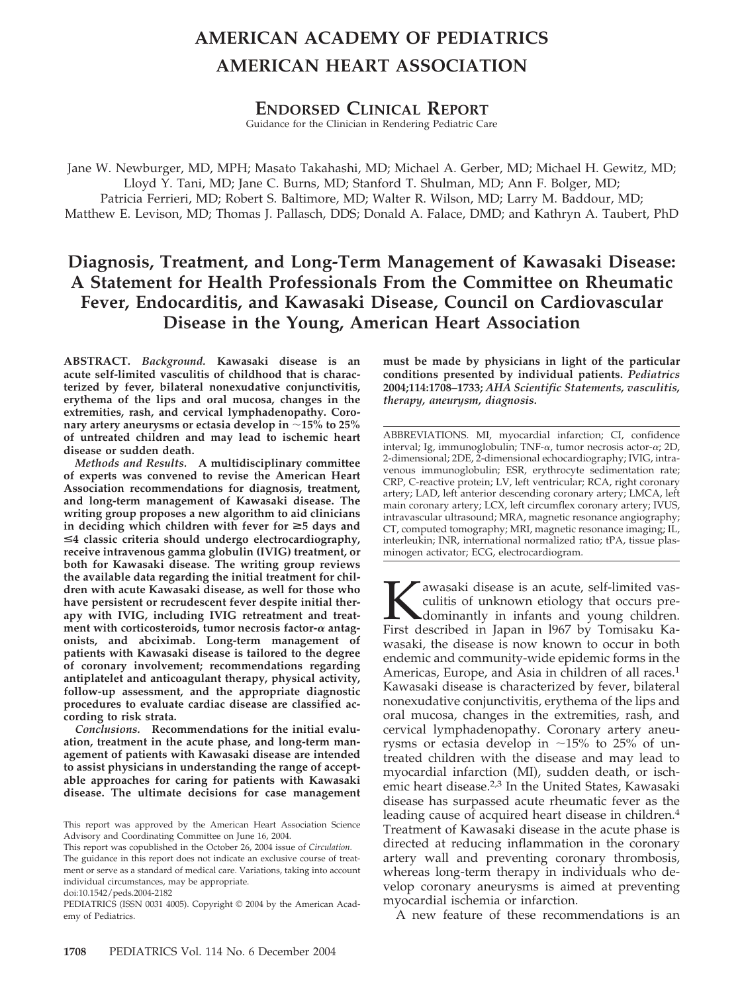# **AMERICAN ACADEMY OF PEDIATRICS AMERICAN HEART ASSOCIATION**

# **ENDORSED CLINICAL REPORT**

Guidance for the Clinician in Rendering Pediatric Care

Jane W. Newburger, MD, MPH; Masato Takahashi, MD; Michael A. Gerber, MD; Michael H. Gewitz, MD; Lloyd Y. Tani, MD; Jane C. Burns, MD; Stanford T. Shulman, MD; Ann F. Bolger, MD; Patricia Ferrieri, MD; Robert S. Baltimore, MD; Walter R. Wilson, MD; Larry M. Baddour, MD; Matthew E. Levison, MD; Thomas J. Pallasch, DDS; Donald A. Falace, DMD; and Kathryn A. Taubert, PhD

# **Diagnosis, Treatment, and Long-Term Management of Kawasaki Disease: A Statement for Health Professionals From the Committee on Rheumatic Fever, Endocarditis, and Kawasaki Disease, Council on Cardiovascular Disease in the Young, American Heart Association**

**ABSTRACT.** *Background.* **Kawasaki disease is an acute self-limited vasculitis of childhood that is characterized by fever, bilateral nonexudative conjunctivitis, erythema of the lips and oral mucosa, changes in the extremities, rash, and cervical lymphadenopathy. Coronary artery aneurysms or ectasia develop in 15% to 25% of untreated children and may lead to ischemic heart disease or sudden death.**

*Methods and Results.* **A multidisciplinary committee of experts was convened to revise the American Heart Association recommendations for diagnosis, treatment, and long-term management of Kawasaki disease. The writing group proposes a new algorithm to aid clinicians** in deciding which children with fever for  $\geq$ **5** days and <**4 classic criteria should undergo electrocardiography, receive intravenous gamma globulin (IVIG) treatment, or both for Kawasaki disease. The writing group reviews the available data regarding the initial treatment for children with acute Kawasaki disease, as well for those who have persistent or recrudescent fever despite initial therapy with IVIG, including IVIG retreatment and treat**ment with corticosteroids, tumor necrosis factor- $\alpha$  antag**onists, and abciximab. Long-term management of patients with Kawasaki disease is tailored to the degree of coronary involvement; recommendations regarding antiplatelet and anticoagulant therapy, physical activity, follow-up assessment, and the appropriate diagnostic procedures to evaluate cardiac disease are classified according to risk strata.**

*Conclusions.* **Recommendations for the initial evaluation, treatment in the acute phase, and long-term management of patients with Kawasaki disease are intended to assist physicians in understanding the range of acceptable approaches for caring for patients with Kawasaki disease. The ultimate decisions for case management**

This report was copublished in the October 26, 2004 issue of *Circulation.* The guidance in this report does not indicate an exclusive course of treatment or serve as a standard of medical care. Variations, taking into account individual circumstances, may be appropriate.

doi:10.1542/peds.2004-2182

PEDIATRICS (ISSN 0031 4005). Copyright © 2004 by the American Academy of Pediatrics.

**must be made by physicians in light of the particular conditions presented by individual patients.** *Pediatrics* **2004;114:1708–1733;** *AHA Scientific Statements, vasculitis, therapy, aneurysm, diagnosis.*

ABBREVIATIONS. MI, myocardial infarction; CI, confidence interval; Ig, immunoglobulin; TNF- $\alpha$ , tumor necrosis actor- $\alpha$ ; 2D, 2-dimensional; 2DE, 2-dimensional echocardiography; IVIG, intravenous immunoglobulin; ESR, erythrocyte sedimentation rate; CRP, C-reactive protein; LV, left ventricular; RCA, right coronary artery; LAD, left anterior descending coronary artery; LMCA, left main coronary artery; LCX, left circumflex coronary artery; IVUS, intravascular ultrasound; MRA, magnetic resonance angiography; CT, computed tomography; MRI, magnetic resonance imaging; IL, interleukin; INR, international normalized ratio; tPA, tissue plasminogen activator; ECG, electrocardiogram.

Kawasaki disease is an acute, self-limited vas-<br>culitis of unknown etiology that occurs pre-<br>first described in Iapan in 1967 by Tomisaku Kaculitis of unknown etiology that occurs predominantly in infants and young children. First described in Japan in l967 by Tomisaku Kawasaki, the disease is now known to occur in both endemic and community-wide epidemic forms in the Americas, Europe, and Asia in children of all races.<sup>1</sup> Kawasaki disease is characterized by fever, bilateral nonexudative conjunctivitis, erythema of the lips and oral mucosa, changes in the extremities, rash, and cervical lymphadenopathy. Coronary artery aneurysms or ectasia develop in  $\sim$ 15% to 25% of untreated children with the disease and may lead to myocardial infarction (MI), sudden death, or ischemic heart disease.<sup>2,3</sup> In the United States, Kawasaki disease has surpassed acute rheumatic fever as the leading cause of acquired heart disease in children.<sup>4</sup> Treatment of Kawasaki disease in the acute phase is directed at reducing inflammation in the coronary artery wall and preventing coronary thrombosis, whereas long-term therapy in individuals who develop coronary aneurysms is aimed at preventing myocardial ischemia or infarction.

A new feature of these recommendations is an

This report was approved by the American Heart Association Science Advisory and Coordinating Committee on June 16, 2004.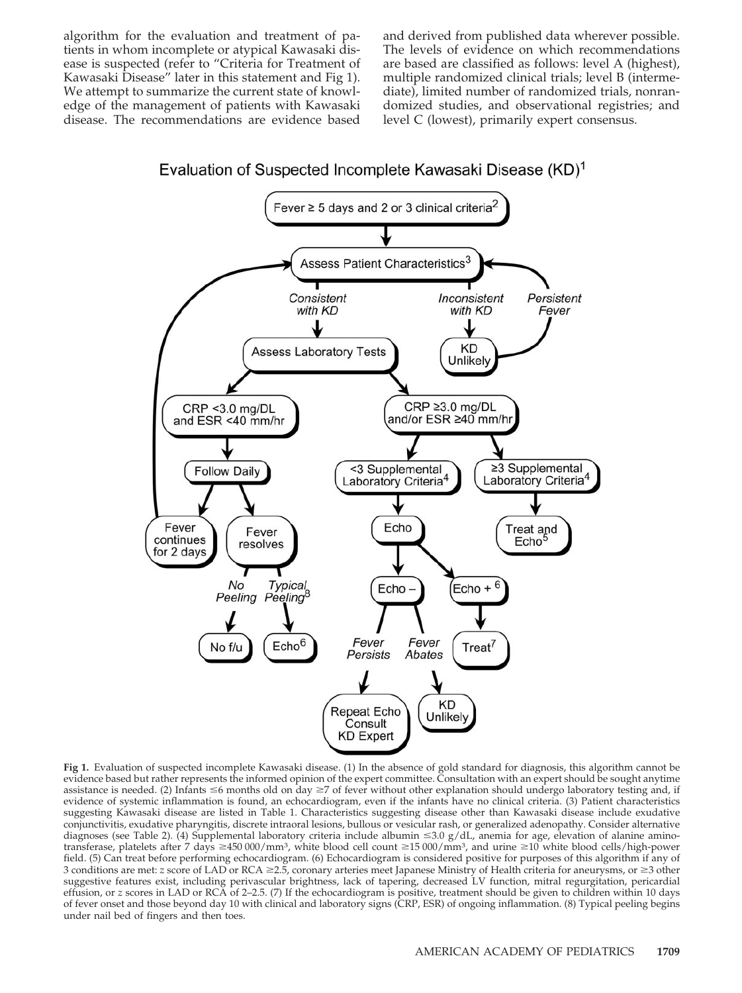algorithm for the evaluation and treatment of patients in whom incomplete or atypical Kawasaki disease is suspected (refer to "Criteria for Treatment of Kawasaki Disease" later in this statement and Fig 1). We attempt to summarize the current state of knowledge of the management of patients with Kawasaki disease. The recommendations are evidence based

and derived from published data wherever possible. The levels of evidence on which recommendations are based are classified as follows: level A (highest), multiple randomized clinical trials; level B (intermediate), limited number of randomized trials, nonrandomized studies, and observational registries; and level C (lowest), primarily expert consensus.





**Fig 1.** Evaluation of suspected incomplete Kawasaki disease. (1) In the absence of gold standard for diagnosis, this algorithm cannot be evidence based but rather represents the informed opinion of the expert committee. Consultation with an expert should be sought anytime assistance is needed. (2) Infants ≤6 months old on day ≥7 of fever without other explanation should undergo laboratory testing and, if evidence of systemic inflammation is found, an echocardiogram, even if the infants have no clinical criteria. (3) Patient characteristics suggesting Kawasaki disease are listed in Table 1. Characteristics suggesting disease other than Kawasaki disease include exudative conjunctivitis, exudative pharyngitis, discrete intraoral lesions, bullous or vesicular rash, or generalized adenopathy. Consider alternative diagnoses (see Table 2). (4) Supplemental laboratory criteria include albumin ≤3.0 g/dL, anemia for age, elevation of alanine aminotransferase, platelets after 7 days  $\geq 450\,000/\text{mm}^3$ , white blood cell count  $\geq 15\,000/\text{mm}^3$ , and urine  $\geq 10$  white blood cells/high-power field. (5) Can treat before performing echocardiogram. (6) Echocardiogram is considered positive for purposes of this algorithm if any of 3 conditions are met: *z* score of LAD or RCA ≥2.5, coronary arteries meet Japanese Ministry of Health criteria for aneurysms, or ≥3 other suggestive features exist, including perivascular brightness, lack of tapering, decreased LV function, mitral regurgitation, pericardial effusion, or *z* scores in LAD or RCA of 2–2.5. (7) If the echocardiogram is positive, treatment should be given to children within 10 days of fever onset and those beyond day 10 with clinical and laboratory signs (CRP, ESR) of ongoing inflammation. (8) Typical peeling begins under nail bed of fingers and then toes.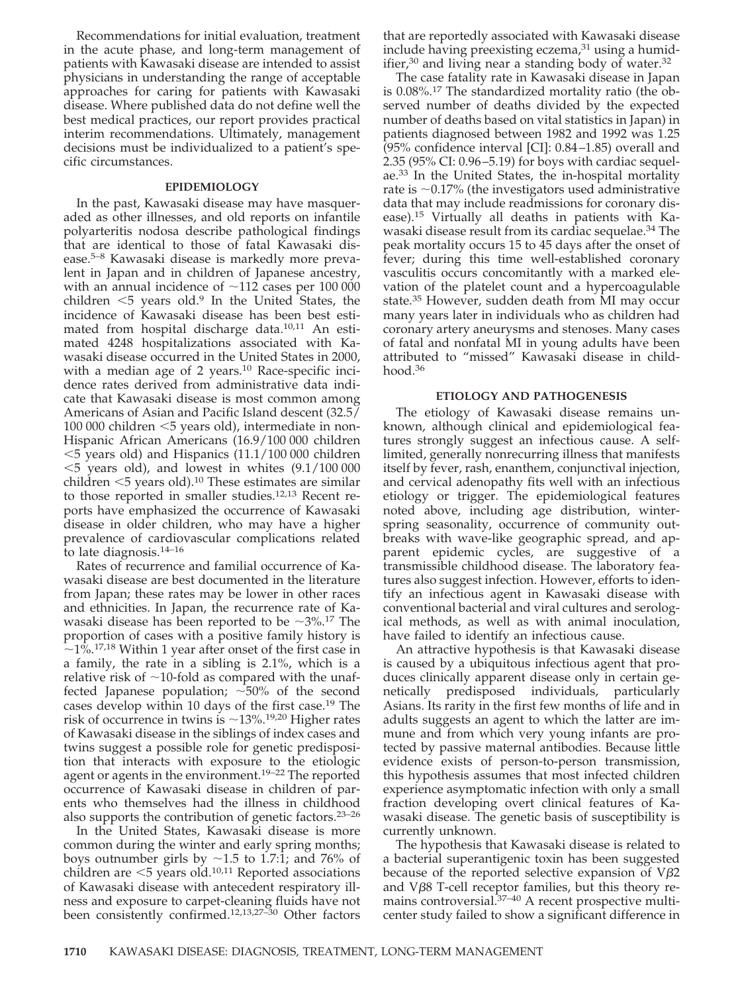Recommendations for initial evaluation, treatment in the acute phase, and long-term management of patients with Kawasaki disease are intended to assist physicians in understanding the range of acceptable approaches for caring for patients with Kawasaki disease. Where published data do not define well the best medical practices, our report provides practical interim recommendations. Ultimately, management decisions must be individualized to a patient's specific circumstances.

#### **EPIDEMIOLOGY**

In the past, Kawasaki disease may have masqueraded as other illnesses, and old reports on infantile polyarteritis nodosa describe pathological findings that are identical to those of fatal Kawasaki disease.5–8 Kawasaki disease is markedly more prevalent in Japan and in children of Japanese ancestry, with an annual incidence of  $\sim$ 112 cases per 100 000 children  $\leq$ 5 years old.<sup>9</sup> In the United States, the incidence of Kawasaki disease has been best estimated from hospital discharge data.10,11 An estimated 4248 hospitalizations associated with Kawasaki disease occurred in the United States in 2000, with a median age of 2 years.<sup>10</sup> Race-specific incidence rates derived from administrative data indicate that Kawasaki disease is most common among Americans of Asian and Pacific Island descent (32.5/ 100 000 children -5 years old), intermediate in non-Hispanic African Americans (16.9/100 000 children -5 years old) and Hispanics (11.1/100 000 children -5 years old), and lowest in whites (9.1/100 000 children -5 years old).10 These estimates are similar to those reported in smaller studies.<sup>12,13</sup> Recent reports have emphasized the occurrence of Kawasaki disease in older children, who may have a higher prevalence of cardiovascular complications related to late diagnosis.14–16

Rates of recurrence and familial occurrence of Kawasaki disease are best documented in the literature from Japan; these rates may be lower in other races and ethnicities. In Japan, the recurrence rate of Kawasaki disease has been reported to be  $\sim 3\%$ .<sup>17</sup> The proportion of cases with a positive family history is  $\sim$ 1%.<sup>17,18</sup> Within 1 year after onset of the first case in a family, the rate in a sibling is 2.1%, which is a relative risk of  $\sim$ 10-fold as compared with the unaffected Japanese population;  $\sim 50\%$  of the second cases develop within 10 days of the first case.19 The risk of occurrence in twins is  $\sim$ 13%.<sup>19,20</sup> Higher rates of Kawasaki disease in the siblings of index cases and twins suggest a possible role for genetic predisposition that interacts with exposure to the etiologic agent or agents in the environment.19–22 The reported occurrence of Kawasaki disease in children of parents who themselves had the illness in childhood also supports the contribution of genetic factors.23–26

In the United States, Kawasaki disease is more common during the winter and early spring months; boys outnumber girls by  $\sim$ 1.5 to 1.7:1; and 76% of children are  $\leq$ 5 years old.<sup>10,11</sup> Reported associations of Kawasaki disease with antecedent respiratory illness and exposure to carpet-cleaning fluids have not been consistently confirmed.12,13,27–30 Other factors

that are reportedly associated with Kawasaki disease include having preexisting eczema,<sup>31</sup> using a humidifier, $30$  and living near a standing body of water. $32$ 

The case fatality rate in Kawasaki disease in Japan is 0.08%.17 The standardized mortality ratio (the observed number of deaths divided by the expected number of deaths based on vital statistics in Japan) in patients diagnosed between 1982 and 1992 was 1.25 (95% confidence interval [CI]: 0.84 –1.85) overall and 2.35 (95% CI: 0.96 –5.19) for boys with cardiac sequelae.33 In the United States, the in-hospital mortality rate is  $\sim$  0.17% (the investigators used administrative data that may include readmissions for coronary disease).15 Virtually all deaths in patients with Kawasaki disease result from its cardiac sequelae.34 The peak mortality occurs 15 to 45 days after the onset of fever; during this time well-established coronary vasculitis occurs concomitantly with a marked elevation of the platelet count and a hypercoagulable state.35 However, sudden death from MI may occur many years later in individuals who as children had coronary artery aneurysms and stenoses. Many cases of fatal and nonfatal MI in young adults have been attributed to "missed" Kawasaki disease in childhood.<sup>36</sup>

#### **ETIOLOGY AND PATHOGENESIS**

The etiology of Kawasaki disease remains unknown, although clinical and epidemiological features strongly suggest an infectious cause. A selflimited, generally nonrecurring illness that manifests itself by fever, rash, enanthem, conjunctival injection, and cervical adenopathy fits well with an infectious etiology or trigger. The epidemiological features noted above, including age distribution, winterspring seasonality, occurrence of community outbreaks with wave-like geographic spread, and apparent epidemic cycles, are suggestive of a transmissible childhood disease. The laboratory features also suggest infection. However, efforts to identify an infectious agent in Kawasaki disease with conventional bacterial and viral cultures and serological methods, as well as with animal inoculation, have failed to identify an infectious cause.

An attractive hypothesis is that Kawasaki disease is caused by a ubiquitous infectious agent that produces clinically apparent disease only in certain genetically predisposed individuals, particularly Asians. Its rarity in the first few months of life and in adults suggests an agent to which the latter are immune and from which very young infants are protected by passive maternal antibodies. Because little evidence exists of person-to-person transmission, this hypothesis assumes that most infected children experience asymptomatic infection with only a small fraction developing overt clinical features of Kawasaki disease. The genetic basis of susceptibility is currently unknown.

The hypothesis that Kawasaki disease is related to a bacterial superantigenic toxin has been suggested because of the reported selective expansion of  $V\beta2$ and V $\beta$ 8 T-cell receptor families, but this theory remains controversial.<sup>37-40</sup> A recent prospective multicenter study failed to show a significant difference in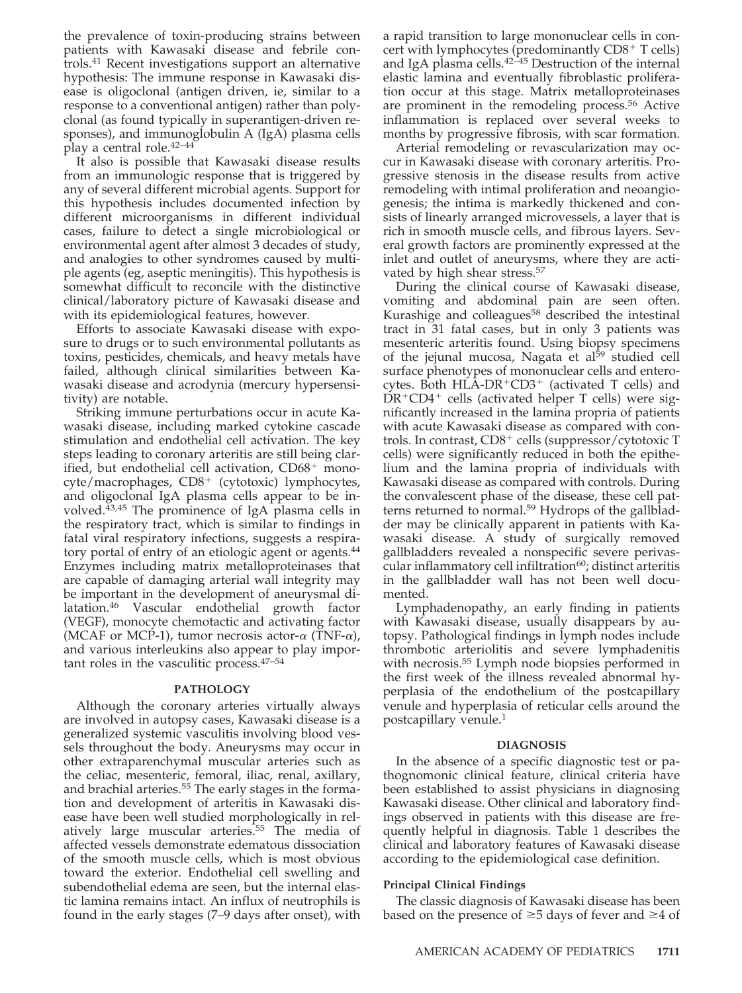the prevalence of toxin-producing strains between patients with Kawasaki disease and febrile controls.41 Recent investigations support an alternative hypothesis: The immune response in Kawasaki disease is oligoclonal (antigen driven, ie, similar to a response to a conventional antigen) rather than polyclonal (as found typically in superantigen-driven responses), and immunoglobulin A (IgA) plasma cells play a central role.42–44

It also is possible that Kawasaki disease results from an immunologic response that is triggered by any of several different microbial agents. Support for this hypothesis includes documented infection by different microorganisms in different individual cases, failure to detect a single microbiological or environmental agent after almost 3 decades of study, and analogies to other syndromes caused by multiple agents (eg, aseptic meningitis). This hypothesis is somewhat difficult to reconcile with the distinctive clinical/laboratory picture of Kawasaki disease and with its epidemiological features, however.

Efforts to associate Kawasaki disease with exposure to drugs or to such environmental pollutants as toxins, pesticides, chemicals, and heavy metals have failed, although clinical similarities between Kawasaki disease and acrodynia (mercury hypersensitivity) are notable.

Striking immune perturbations occur in acute Kawasaki disease, including marked cytokine cascade stimulation and endothelial cell activation. The key steps leading to coronary arteritis are still being clarified, but endothelial cell activation,  $CD68<sup>+</sup>$  monocyte/macrophages, CD8<sup>+</sup> (cytotoxic) lymphocytes, and oligoclonal IgA plasma cells appear to be involved.43,45 The prominence of IgA plasma cells in the respiratory tract, which is similar to findings in fatal viral respiratory infections, suggests a respiratory portal of entry of an etiologic agent or agents.<sup>44</sup> Enzymes including matrix metalloproteinases that are capable of damaging arterial wall integrity may be important in the development of aneurysmal dilatation.46 Vascular endothelial growth factor (VEGF), monocyte chemotactic and activating factor (MCAF or MCP-1), tumor necrosis actor- $\alpha$  (TNF- $\alpha$ ), and various interleukins also appear to play important roles in the vasculitic process.47–54

#### **PATHOLOGY**

Although the coronary arteries virtually always are involved in autopsy cases, Kawasaki disease is a generalized systemic vasculitis involving blood vessels throughout the body. Aneurysms may occur in other extraparenchymal muscular arteries such as the celiac, mesenteric, femoral, iliac, renal, axillary, and brachial arteries.<sup>55</sup> The early stages in the formation and development of arteritis in Kawasaki disease have been well studied morphologically in relatively large muscular arteries.<sup>55</sup> The media of affected vessels demonstrate edematous dissociation of the smooth muscle cells, which is most obvious toward the exterior. Endothelial cell swelling and subendothelial edema are seen, but the internal elastic lamina remains intact. An influx of neutrophils is found in the early stages (7–9 days after onset), with

a rapid transition to large mononuclear cells in concert with lymphocytes (predominantly  $CDS+T$  cells) and IgA plasma cells.<sup>42–45</sup> Destruction of the internal elastic lamina and eventually fibroblastic proliferation occur at this stage. Matrix metalloproteinases are prominent in the remodeling process.<sup>56</sup> Active inflammation is replaced over several weeks to months by progressive fibrosis, with scar formation.

Arterial remodeling or revascularization may occur in Kawasaki disease with coronary arteritis. Progressive stenosis in the disease results from active remodeling with intimal proliferation and neoangiogenesis; the intima is markedly thickened and consists of linearly arranged microvessels, a layer that is rich in smooth muscle cells, and fibrous layers. Several growth factors are prominently expressed at the inlet and outlet of aneurysms, where they are activated by high shear stress.<sup>57</sup>

During the clinical course of Kawasaki disease, vomiting and abdominal pain are seen often. Kurashige and colleagues<sup>58</sup> described the intestinal tract in 31 fatal cases, but in only 3 patients was mesenteric arteritis found. Using biopsy specimens of the jejunal mucosa, Nagata et al<sup>59</sup> studied cell surface phenotypes of mononuclear cells and enterocytes. Both HLA-DR+CD3+ (activated T cells) and  $DR+CD4+$  cells (activated helper T cells) were significantly increased in the lamina propria of patients with acute Kawasaki disease as compared with controls. In contrast, CD8<sup>+</sup> cells (suppressor/cytotoxic T cells) were significantly reduced in both the epithelium and the lamina propria of individuals with Kawasaki disease as compared with controls. During the convalescent phase of the disease, these cell patterns returned to normal.59 Hydrops of the gallbladder may be clinically apparent in patients with Kawasaki disease. A study of surgically removed gallbladders revealed a nonspecific severe perivascular inflammatory cell infiltration<sup>60</sup>; distinct arteritis in the gallbladder wall has not been well documented.

Lymphadenopathy, an early finding in patients with Kawasaki disease, usually disappears by autopsy. Pathological findings in lymph nodes include thrombotic arteriolitis and severe lymphadenitis with necrosis.<sup>55</sup> Lymph node biopsies performed in the first week of the illness revealed abnormal hyperplasia of the endothelium of the postcapillary venule and hyperplasia of reticular cells around the postcapillary venule.1

## **DIAGNOSIS**

In the absence of a specific diagnostic test or pathognomonic clinical feature, clinical criteria have been established to assist physicians in diagnosing Kawasaki disease. Other clinical and laboratory findings observed in patients with this disease are frequently helpful in diagnosis. Table 1 describes the clinical and laboratory features of Kawasaki disease according to the epidemiological case definition.

## **Principal Clinical Findings**

The classic diagnosis of Kawasaki disease has been based on the presence of  $\geq$ 5 days of fever and  $\geq$ 4 of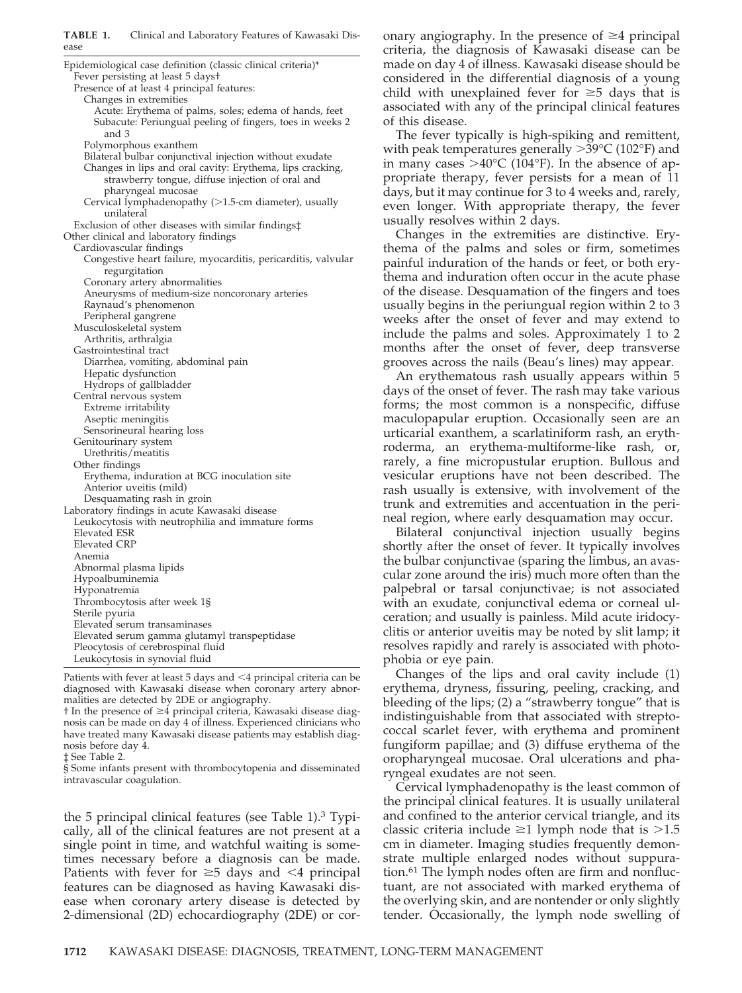| Epidemiological case definition (classic clinical criteria)*  |
|---------------------------------------------------------------|
| Fever persisting at least 5 days <sup>+</sup>                 |
| Presence of at least 4 principal features:                    |
| Changes in extremities                                        |
| Acute: Erythema of palms, soles; edema of hands, feet         |
| Subacute: Periungual peeling of fingers, toes in weeks 2      |
| and 3                                                         |
| Polymorphous exanthem                                         |
| Bilateral bulbar conjunctival injection without exudate       |
| Changes in lips and oral cavity: Erythema, lips cracking,     |
| strawberry tongue, diffuse injection of oral and              |
| pharyngeal mucosae                                            |
| Cervical lymphadenopathy (>1.5-cm diameter), usually          |
| unilateral                                                    |
| Exclusion of other diseases with similar findings‡            |
| Other clinical and laboratory findings                        |
| Cardiovascular findings                                       |
| Congestive heart failure, myocarditis, pericarditis, valvular |
| regurgitation                                                 |
| Coronary artery abnormalities                                 |
| Aneurysms of medium-size noncoronary arteries                 |
| Raynaud's phenomenon                                          |
| Peripheral gangrene                                           |
| Musculoskeletal system                                        |
| Arthritis, arthralgia                                         |
| Gastrointestinal tract                                        |
| Diarrhea, vomiting, abdominal pain                            |
| Hepatic dysfunction                                           |
| Hydrops of gallbladder<br>Central nervous system              |
| Extreme irritability                                          |
| Aseptic meningitis                                            |
| Sensorineural hearing loss                                    |
| Genitourinary system                                          |
| Urethritis/meatitis                                           |
| Other findings                                                |
| Erythema, induration at BCG inoculation site                  |
| Anterior uveitis (mild)                                       |
| Desquamating rash in groin                                    |
| Laboratory findings in acute Kawasaki disease                 |
| Leukocytosis with neutrophilia and immature forms             |
| Elevated ESR                                                  |
| Elevated CRP                                                  |
| Anemia                                                        |
| Abnormal plasma lipids                                        |
| Hypoalbuminemia                                               |
| Hyponatremia                                                  |
| Thrombocytosis after week 1§                                  |
| Sterile pyuria                                                |
| Elevated serum transaminases                                  |
| Elevated serum gamma glutamyl transpeptidase                  |
| Pleocytosis of cerebrospinal fluid                            |
| Leukocytosis in synovial fluid                                |
|                                                               |

Patients with fever at least 5 days and <4 principal criteria can be diagnosed with Kawasaki disease when coronary artery abnormalities are detected by 2DE or angiography.

 $\dagger$  In the presence of  $\geq 4$  principal criteria, Kawasaki disease diagnosis can be made on day 4 of illness. Experienced clinicians who have treated many Kawasaki disease patients may establish diagnosis before day 4.

‡ See Table 2.

§ Some infants present with thrombocytopenia and disseminated intravascular coagulation.

the 5 principal clinical features (see Table  $1$ ).<sup>3</sup> Typically, all of the clinical features are not present at a single point in time, and watchful waiting is sometimes necessary before a diagnosis can be made. Patients with fever for  $\geq$ 5 days and  $\leq$ 4 principal features can be diagnosed as having Kawasaki disease when coronary artery disease is detected by 2-dimensional (2D) echocardiography (2DE) or coronary angiography. In the presence of  $\geq 4$  principal criteria, the diagnosis of Kawasaki disease can be made on day 4 of illness. Kawasaki disease should be considered in the differential diagnosis of a young child with unexplained fever for  $\geq$ 5 days that is associated with any of the principal clinical features of this disease.

The fever typically is high-spiking and remittent, with peak temperatures generally  $>39^{\circ}C(102^{\circ}F)$  and in many cases  $>40^{\circ}$ C (104°F). In the absence of appropriate therapy, fever persists for a mean of 11 days, but it may continue for 3 to 4 weeks and, rarely, even longer. With appropriate therapy, the fever usually resolves within 2 days.

Changes in the extremities are distinctive. Erythema of the palms and soles or firm, sometimes painful induration of the hands or feet, or both erythema and induration often occur in the acute phase of the disease. Desquamation of the fingers and toes usually begins in the periungual region within 2 to 3 weeks after the onset of fever and may extend to include the palms and soles. Approximately 1 to 2 months after the onset of fever, deep transverse grooves across the nails (Beau's lines) may appear.

An erythematous rash usually appears within 5 days of the onset of fever. The rash may take various forms; the most common is a nonspecific, diffuse maculopapular eruption. Occasionally seen are an urticarial exanthem, a scarlatiniform rash, an erythroderma, an erythema-multiforme-like rash, or, rarely, a fine micropustular eruption. Bullous and vesicular eruptions have not been described. The rash usually is extensive, with involvement of the trunk and extremities and accentuation in the perineal region, where early desquamation may occur.

Bilateral conjunctival injection usually begins shortly after the onset of fever. It typically involves the bulbar conjunctivae (sparing the limbus, an avascular zone around the iris) much more often than the palpebral or tarsal conjunctivae; is not associated with an exudate, conjunctival edema or corneal ulceration; and usually is painless. Mild acute iridocyclitis or anterior uveitis may be noted by slit lamp; it resolves rapidly and rarely is associated with photophobia or eye pain.

Changes of the lips and oral cavity include (1) erythema, dryness, fissuring, peeling, cracking, and bleeding of the lips; (2) a "strawberry tongue" that is indistinguishable from that associated with streptococcal scarlet fever, with erythema and prominent fungiform papillae; and (3) diffuse erythema of the oropharyngeal mucosae. Oral ulcerations and pharyngeal exudates are not seen.

Cervical lymphadenopathy is the least common of the principal clinical features. It is usually unilateral and confined to the anterior cervical triangle, and its classic criteria include  $\geq$ 1 lymph node that is  $>$ 1.5 cm in diameter. Imaging studies frequently demonstrate multiple enlarged nodes without suppuration.<sup>61</sup> The lymph nodes often are firm and nonfluctuant, are not associated with marked erythema of the overlying skin, and are nontender or only slightly tender. Occasionally, the lymph node swelling of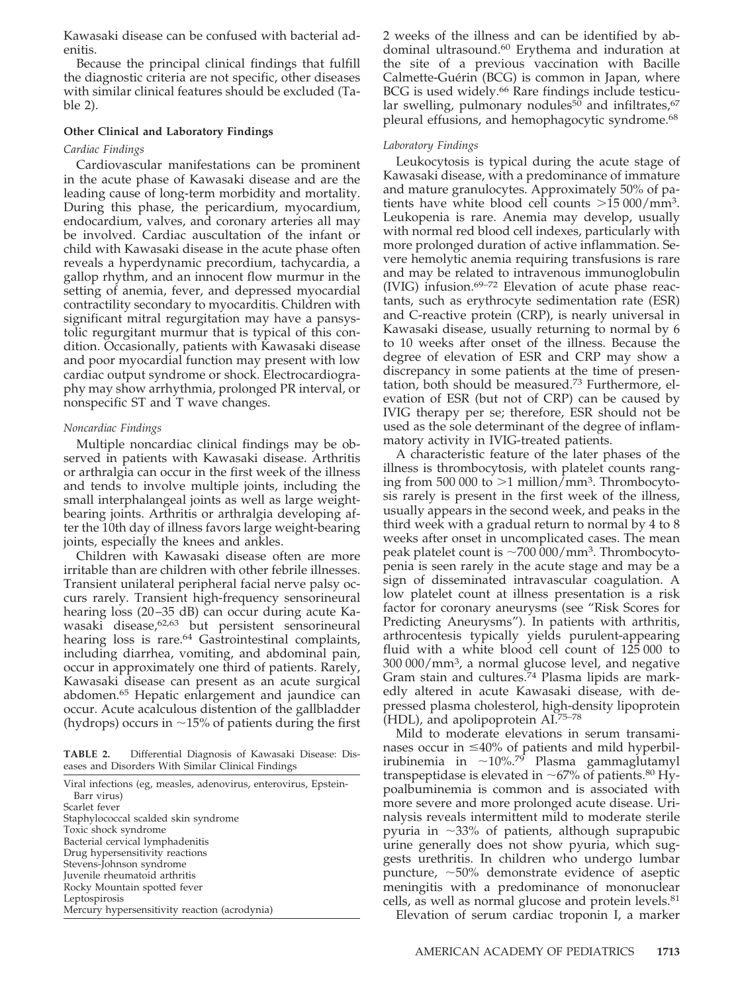Kawasaki disease can be confused with bacterial adenitis.

Because the principal clinical findings that fulfill the diagnostic criteria are not specific, other diseases with similar clinical features should be excluded (Table 2).

#### **Other Clinical and Laboratory Findings**

#### *Cardiac Findings*

Cardiovascular manifestations can be prominent in the acute phase of Kawasaki disease and are the leading cause of long-term morbidity and mortality. During this phase, the pericardium, myocardium, endocardium, valves, and coronary arteries all may be involved. Cardiac auscultation of the infant or child with Kawasaki disease in the acute phase often reveals a hyperdynamic precordium, tachycardia, a gallop rhythm, and an innocent flow murmur in the setting of anemia, fever, and depressed myocardial contractility secondary to myocarditis. Children with significant mitral regurgitation may have a pansystolic regurgitant murmur that is typical of this condition. Occasionally, patients with Kawasaki disease and poor myocardial function may present with low cardiac output syndrome or shock. Electrocardiography may show arrhythmia, prolonged PR interval, or nonspecific ST and T wave changes.

#### *Noncardiac Findings*

Multiple noncardiac clinical findings may be observed in patients with Kawasaki disease. Arthritis or arthralgia can occur in the first week of the illness and tends to involve multiple joints, including the small interphalangeal joints as well as large weightbearing joints. Arthritis or arthralgia developing after the 10th day of illness favors large weight-bearing joints, especially the knees and ankles.

Children with Kawasaki disease often are more irritable than are children with other febrile illnesses. Transient unilateral peripheral facial nerve palsy occurs rarely. Transient high-frequency sensorineural hearing loss (20–35 dB) can occur during acute Kawasaki disease, $62,63$  but persistent sensorineural hearing loss is rare.<sup>64</sup> Gastrointestinal complaints, including diarrhea, vomiting, and abdominal pain, occur in approximately one third of patients. Rarely, Kawasaki disease can present as an acute surgical abdomen.65 Hepatic enlargement and jaundice can occur. Acute acalculous distention of the gallbladder (hydrops) occurs in  $\sim$ 15% of patients during the first

**TABLE 2.** Differential Diagnosis of Kawasaki Disease: Diseases and Disorders With Similar Clinical Findings

| Viral infections (eg, measles, adenovirus, enterovirus, Epstein-<br>Barr virus) |
|---------------------------------------------------------------------------------|
| Scarlet fever                                                                   |
| Staphylococcal scalded skin syndrome                                            |
| Toxic shock syndrome                                                            |
| Bacterial cervical lymphadenitis                                                |
| Drug hypersensitivity reactions                                                 |
| Stevens-Johnson syndrome                                                        |
| Juvenile rheumatoid arthritis                                                   |
| Rocky Mountain spotted fever                                                    |
| Leptospirosis                                                                   |
| Mercury hypersensitivity reaction (acrodynia)                                   |
|                                                                                 |

2 weeks of the illness and can be identified by abdominal ultrasound.<sup>60</sup> Erythema and induration at the site of a previous vaccination with Bacille Calmette-Guérin (BCG) is common in Japan, where BCG is used widely.<sup>66</sup> Rare findings include testicular swelling, pulmonary nodules<sup>50</sup> and infiltrates,  $67$ pleural effusions, and hemophagocytic syndrome.<sup>68</sup>

#### *Laboratory Findings*

Leukocytosis is typical during the acute stage of Kawasaki disease, with a predominance of immature and mature granulocytes. Approximately 50% of patients have white blood cell counts  $>15\,000/\text{mm}^3$ . Leukopenia is rare. Anemia may develop, usually with normal red blood cell indexes, particularly with more prolonged duration of active inflammation. Severe hemolytic anemia requiring transfusions is rare and may be related to intravenous immunoglobulin (IVIG) infusion.69–72 Elevation of acute phase reactants, such as erythrocyte sedimentation rate (ESR) and C-reactive protein (CRP), is nearly universal in Kawasaki disease, usually returning to normal by 6 to 10 weeks after onset of the illness. Because the degree of elevation of ESR and CRP may show a discrepancy in some patients at the time of presentation, both should be measured.73 Furthermore, elevation of ESR (but not of CRP) can be caused by IVIG therapy per se; therefore, ESR should not be used as the sole determinant of the degree of inflammatory activity in IVIG-treated patients.

A characteristic feature of the later phases of the illness is thrombocytosis, with platelet counts ranging from 500 000 to  $>1$  million/mm<sup>3</sup>. Thrombocytosis rarely is present in the first week of the illness, usually appears in the second week, and peaks in the third week with a gradual return to normal by 4 to 8 weeks after onset in uncomplicated cases. The mean peak platelet count is  $\sim$  700 000/mm<sup>3</sup>. Thrombocytopenia is seen rarely in the acute stage and may be a sign of disseminated intravascular coagulation. A low platelet count at illness presentation is a risk factor for coronary aneurysms (see "Risk Scores for Predicting Aneurysms"). In patients with arthritis, arthrocentesis typically yields purulent-appearing fluid with a white blood cell count of 125 000 to  $300\,000/\text{mm}^3$ , a normal glucose level, and negative Gram stain and cultures.74 Plasma lipids are markedly altered in acute Kawasaki disease, with depressed plasma cholesterol, high-density lipoprotein (HDL), and apolipoprotein AI.75–78

Mild to moderate elevations in serum transaminases occur in  $\leq$ 40% of patients and mild hyperbilirubinemia in  $\sim$ 10%.<sup>79</sup> Plasma gammaglutamyl transpeptidase is elevated in  $\sim$  67% of patients.<sup>80</sup> Hypoalbuminemia is common and is associated with more severe and more prolonged acute disease. Urinalysis reveals intermittent mild to moderate sterile pyuria in  $\sim$ 33% of patients, although suprapubic urine generally does not show pyuria, which suggests urethritis. In children who undergo lumbar puncture,  $\sim$ 50% demonstrate evidence of aseptic meningitis with a predominance of mononuclear cells, as well as normal glucose and protein levels.81

Elevation of serum cardiac troponin I, a marker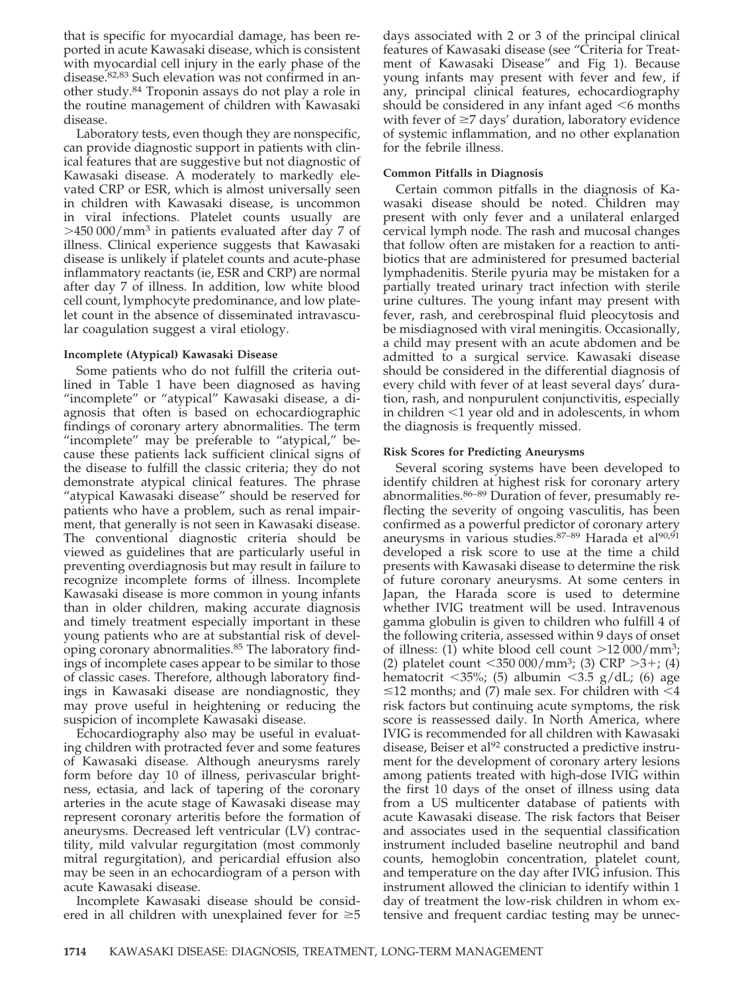that is specific for myocardial damage, has been reported in acute Kawasaki disease, which is consistent with myocardial cell injury in the early phase of the disease.82,83 Such elevation was not confirmed in another study.84 Troponin assays do not play a role in the routine management of children with Kawasaki disease.

Laboratory tests, even though they are nonspecific, can provide diagnostic support in patients with clinical features that are suggestive but not diagnostic of Kawasaki disease. A moderately to markedly elevated CRP or ESR, which is almost universally seen in children with Kawasaki disease, is uncommon in viral infections. Platelet counts usually are  $>450\,000/\text{mm}^3$  in patients evaluated after day 7 of illness. Clinical experience suggests that Kawasaki disease is unlikely if platelet counts and acute-phase inflammatory reactants (ie, ESR and CRP) are normal after day 7 of illness. In addition, low white blood cell count, lymphocyte predominance, and low platelet count in the absence of disseminated intravascular coagulation suggest a viral etiology.

## **Incomplete (Atypical) Kawasaki Disease**

Some patients who do not fulfill the criteria outlined in Table 1 have been diagnosed as having "incomplete" or "atypical" Kawasaki disease, a diagnosis that often is based on echocardiographic findings of coronary artery abnormalities. The term "incomplete" may be preferable to "atypical," because these patients lack sufficient clinical signs of the disease to fulfill the classic criteria; they do not demonstrate atypical clinical features. The phrase "atypical Kawasaki disease" should be reserved for patients who have a problem, such as renal impairment, that generally is not seen in Kawasaki disease. The conventional diagnostic criteria should be viewed as guidelines that are particularly useful in preventing overdiagnosis but may result in failure to recognize incomplete forms of illness. Incomplete Kawasaki disease is more common in young infants than in older children, making accurate diagnosis and timely treatment especially important in these young patients who are at substantial risk of developing coronary abnormalities.85 The laboratory findings of incomplete cases appear to be similar to those of classic cases. Therefore, although laboratory findings in Kawasaki disease are nondiagnostic, they may prove useful in heightening or reducing the suspicion of incomplete Kawasaki disease.

Echocardiography also may be useful in evaluating children with protracted fever and some features of Kawasaki disease. Although aneurysms rarely form before day 10 of illness, perivascular brightness, ectasia, and lack of tapering of the coronary arteries in the acute stage of Kawasaki disease may represent coronary arteritis before the formation of aneurysms. Decreased left ventricular (LV) contractility, mild valvular regurgitation (most commonly mitral regurgitation), and pericardial effusion also may be seen in an echocardiogram of a person with acute Kawasaki disease.

Incomplete Kawasaki disease should be considered in all children with unexplained fever for  $\geq 5$ 

days associated with 2 or 3 of the principal clinical features of Kawasaki disease (see "Criteria for Treatment of Kawasaki Disease" and Fig 1). Because young infants may present with fever and few, if any, principal clinical features, echocardiography should be considered in any infant aged  $\leq$ 6 months with fever of  $\geq$ 7 days' duration, laboratory evidence of systemic inflammation, and no other explanation for the febrile illness.

# **Common Pitfalls in Diagnosis**

Certain common pitfalls in the diagnosis of Kawasaki disease should be noted. Children may present with only fever and a unilateral enlarged cervical lymph node. The rash and mucosal changes that follow often are mistaken for a reaction to antibiotics that are administered for presumed bacterial lymphadenitis. Sterile pyuria may be mistaken for a partially treated urinary tract infection with sterile urine cultures. The young infant may present with fever, rash, and cerebrospinal fluid pleocytosis and be misdiagnosed with viral meningitis. Occasionally, a child may present with an acute abdomen and be admitted to a surgical service. Kawasaki disease should be considered in the differential diagnosis of every child with fever of at least several days' duration, rash, and nonpurulent conjunctivitis, especially in children -1 year old and in adolescents, in whom the diagnosis is frequently missed.

# **Risk Scores for Predicting Aneurysms**

Several scoring systems have been developed to identify children at highest risk for coronary artery abnormalities.86–89 Duration of fever, presumably reflecting the severity of ongoing vasculitis, has been confirmed as a powerful predictor of coronary artery aneurysms in various studies.<sup>87-89</sup> Harada et al<sup>90,91</sup> developed a risk score to use at the time a child presents with Kawasaki disease to determine the risk of future coronary aneurysms. At some centers in Japan, the Harada score is used to determine whether IVIG treatment will be used. Intravenous gamma globulin is given to children who fulfill 4 of the following criteria, assessed within 9 days of onset of illness: (1) white blood cell count  $>12\,000/mm^3$ ; (2) platelet count < 350 000/mm<sup>3</sup>; (3) CRP > 3+; (4) hematocrit -35%; (5) albumin -3.5 g/dL; (6) age  $\leq$ 12 months; and (7) male sex. For children with  $\leq$ 4 risk factors but continuing acute symptoms, the risk score is reassessed daily. In North America, where IVIG is recommended for all children with Kawasaki disease, Beiser et al<sup>92</sup> constructed a predictive instrument for the development of coronary artery lesions among patients treated with high-dose IVIG within the first 10 days of the onset of illness using data from a US multicenter database of patients with acute Kawasaki disease. The risk factors that Beiser and associates used in the sequential classification instrument included baseline neutrophil and band counts, hemoglobin concentration, platelet count, and temperature on the day after IVIG infusion. This instrument allowed the clinician to identify within 1 day of treatment the low-risk children in whom extensive and frequent cardiac testing may be unnec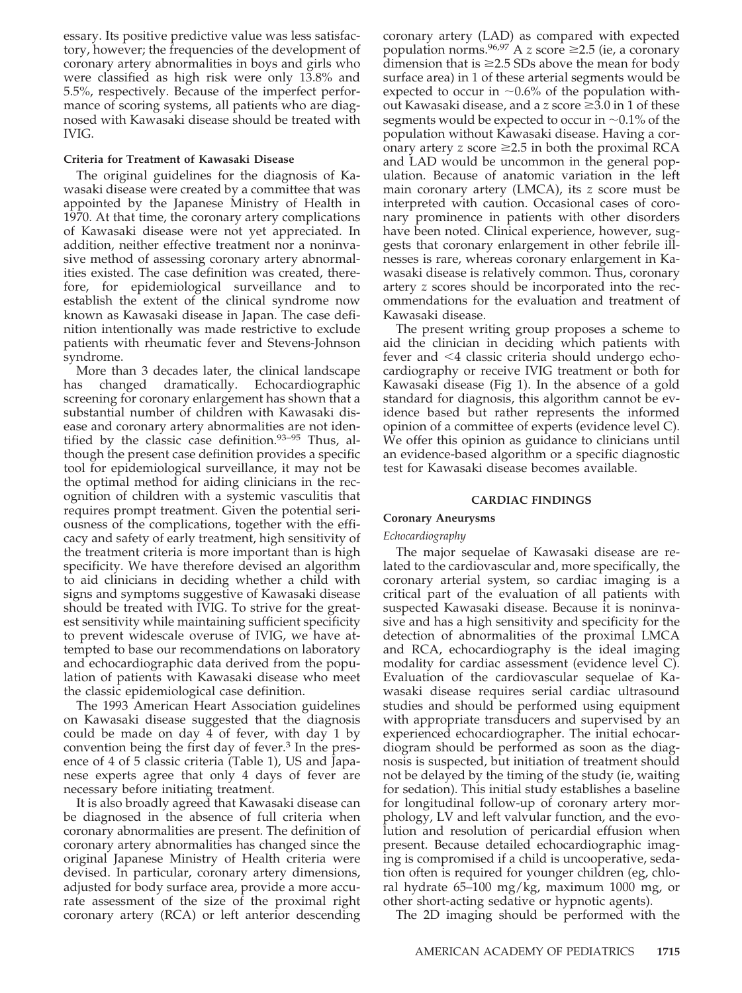essary. Its positive predictive value was less satisfactory, however; the frequencies of the development of coronary artery abnormalities in boys and girls who were classified as high risk were only 13.8% and 5.5%, respectively. Because of the imperfect performance of scoring systems, all patients who are diagnosed with Kawasaki disease should be treated with IVIG.

## **Criteria for Treatment of Kawasaki Disease**

The original guidelines for the diagnosis of Kawasaki disease were created by a committee that was appointed by the Japanese Ministry of Health in 1970. At that time, the coronary artery complications of Kawasaki disease were not yet appreciated. In addition, neither effective treatment nor a noninvasive method of assessing coronary artery abnormalities existed. The case definition was created, therefore, for epidemiological surveillance and to establish the extent of the clinical syndrome now known as Kawasaki disease in Japan. The case definition intentionally was made restrictive to exclude patients with rheumatic fever and Stevens-Johnson syndrome.

More than 3 decades later, the clinical landscape has changed dramatically. Echocardiographic screening for coronary enlargement has shown that a substantial number of children with Kawasaki disease and coronary artery abnormalities are not identified by the classic case definition.<sup>93-95</sup> Thus, although the present case definition provides a specific tool for epidemiological surveillance, it may not be the optimal method for aiding clinicians in the recognition of children with a systemic vasculitis that requires prompt treatment. Given the potential seriousness of the complications, together with the efficacy and safety of early treatment, high sensitivity of the treatment criteria is more important than is high specificity. We have therefore devised an algorithm to aid clinicians in deciding whether a child with signs and symptoms suggestive of Kawasaki disease should be treated with IVIG. To strive for the greatest sensitivity while maintaining sufficient specificity to prevent widescale overuse of IVIG, we have attempted to base our recommendations on laboratory and echocardiographic data derived from the population of patients with Kawasaki disease who meet the classic epidemiological case definition.

The 1993 American Heart Association guidelines on Kawasaki disease suggested that the diagnosis could be made on day 4 of fever, with day 1 by convention being the first day of fever. $3$  In the presence of 4 of 5 classic criteria (Table 1), US and Japanese experts agree that only 4 days of fever are necessary before initiating treatment.

It is also broadly agreed that Kawasaki disease can be diagnosed in the absence of full criteria when coronary abnormalities are present. The definition of coronary artery abnormalities has changed since the original Japanese Ministry of Health criteria were devised. In particular, coronary artery dimensions, adjusted for body surface area, provide a more accurate assessment of the size of the proximal right coronary artery (RCA) or left anterior descending

coronary artery (LAD) as compared with expected population norms.<sup>96,97</sup> A *z* score ≥2.5 (ie, a coronary dimension that is  $\geq$  2.5 SDs above the mean for body surface area) in 1 of these arterial segments would be expected to occur in  $\sim 0.6\%$  of the population without Kawasaki disease, and a *z* score ≥3.0 in 1 of these segments would be expected to occur in  $\sim$ 0.1% of the population without Kawasaki disease. Having a coronary artery *z* score  $\geq$ 2.5 in both the proximal RCA and LAD would be uncommon in the general population. Because of anatomic variation in the left main coronary artery (LMCA), its *z* score must be interpreted with caution. Occasional cases of coronary prominence in patients with other disorders have been noted. Clinical experience, however, suggests that coronary enlargement in other febrile illnesses is rare, whereas coronary enlargement in Kawasaki disease is relatively common. Thus, coronary artery *z* scores should be incorporated into the recommendations for the evaluation and treatment of Kawasaki disease.

The present writing group proposes a scheme to aid the clinician in deciding which patients with fever and <4 classic criteria should undergo echocardiography or receive IVIG treatment or both for Kawasaki disease (Fig 1). In the absence of a gold standard for diagnosis, this algorithm cannot be evidence based but rather represents the informed opinion of a committee of experts (evidence level C). We offer this opinion as guidance to clinicians until an evidence-based algorithm or a specific diagnostic test for Kawasaki disease becomes available.

## **CARDIAC FINDINGS**

## **Coronary Aneurysms**

## *Echocardiography*

The major sequelae of Kawasaki disease are related to the cardiovascular and, more specifically, the coronary arterial system, so cardiac imaging is a critical part of the evaluation of all patients with suspected Kawasaki disease. Because it is noninvasive and has a high sensitivity and specificity for the detection of abnormalities of the proximal LMCA and RCA, echocardiography is the ideal imaging modality for cardiac assessment (evidence level C). Evaluation of the cardiovascular sequelae of Kawasaki disease requires serial cardiac ultrasound studies and should be performed using equipment with appropriate transducers and supervised by an experienced echocardiographer. The initial echocardiogram should be performed as soon as the diagnosis is suspected, but initiation of treatment should not be delayed by the timing of the study (ie, waiting for sedation). This initial study establishes a baseline for longitudinal follow-up of coronary artery morphology, LV and left valvular function, and the evolution and resolution of pericardial effusion when present. Because detailed echocardiographic imaging is compromised if a child is uncooperative, sedation often is required for younger children (eg, chloral hydrate 65–100 mg/kg, maximum 1000 mg, or other short-acting sedative or hypnotic agents).

The 2D imaging should be performed with the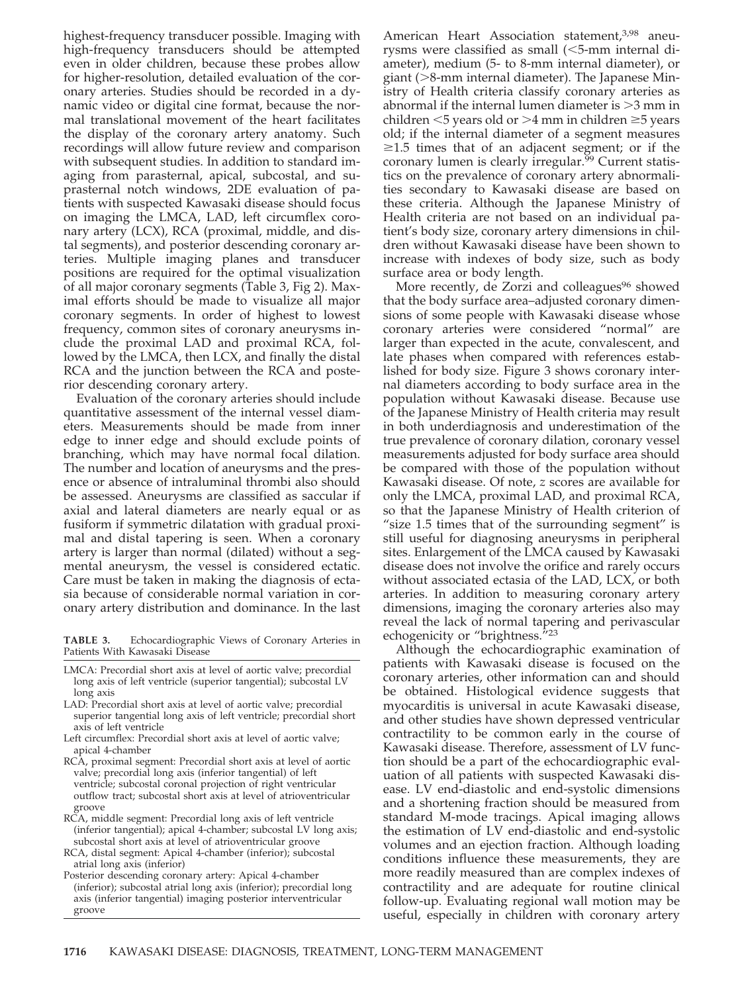highest-frequency transducer possible. Imaging with high-frequency transducers should be attempted even in older children, because these probes allow for higher-resolution, detailed evaluation of the coronary arteries. Studies should be recorded in a dynamic video or digital cine format, because the normal translational movement of the heart facilitates the display of the coronary artery anatomy. Such recordings will allow future review and comparison with subsequent studies. In addition to standard imaging from parasternal, apical, subcostal, and suprasternal notch windows, 2DE evaluation of patients with suspected Kawasaki disease should focus on imaging the LMCA, LAD, left circumflex coronary artery (LCX), RCA (proximal, middle, and distal segments), and posterior descending coronary arteries. Multiple imaging planes and transducer positions are required for the optimal visualization of all major coronary segments (Table 3, Fig 2). Maximal efforts should be made to visualize all major coronary segments. In order of highest to lowest frequency, common sites of coronary aneurysms include the proximal LAD and proximal RCA, followed by the LMCA, then LCX, and finally the distal RCA and the junction between the RCA and posterior descending coronary artery.

Evaluation of the coronary arteries should include quantitative assessment of the internal vessel diameters. Measurements should be made from inner edge to inner edge and should exclude points of branching, which may have normal focal dilation. The number and location of aneurysms and the presence or absence of intraluminal thrombi also should be assessed. Aneurysms are classified as saccular if axial and lateral diameters are nearly equal or as fusiform if symmetric dilatation with gradual proximal and distal tapering is seen. When a coronary artery is larger than normal (dilated) without a segmental aneurysm, the vessel is considered ectatic. Care must be taken in making the diagnosis of ectasia because of considerable normal variation in coronary artery distribution and dominance. In the last

**TABLE 3.** Echocardiographic Views of Coronary Arteries in Patients With Kawasaki Disease

- LMCA: Precordial short axis at level of aortic valve; precordial long axis of left ventricle (superior tangential); subcostal LV long axis
- LAD: Precordial short axis at level of aortic valve; precordial superior tangential long axis of left ventricle; precordial short axis of left ventricle
- Left circumflex: Precordial short axis at level of aortic valve; apical 4-chamber
- RCA, proximal segment: Precordial short axis at level of aortic valve; precordial long axis (inferior tangential) of left ventricle; subcostal coronal projection of right ventricular outflow tract; subcostal short axis at level of atrioventricular groove
- RCA, middle segment: Precordial long axis of left ventricle (inferior tangential); apical 4-chamber; subcostal LV long axis; subcostal short axis at level of atrioventricular groove

RCA, distal segment: Apical 4-chamber (inferior); subcostal atrial long axis (inferior)

Posterior descending coronary artery: Apical 4-chamber (inferior); subcostal atrial long axis (inferior); precordial long axis (inferior tangential) imaging posterior interventricular groove

American Heart Association statement,<sup>3,98</sup> aneurysms were classified as small (<5-mm internal diameter), medium (5- to 8-mm internal diameter), or giant  $(>8$ -mm internal diameter). The Japanese Ministry of Health criteria classify coronary arteries as abnormal if the internal lumen diameter is  $>$ 3 mm in children  $<$ 5 years old or  $>$ 4 mm in children  $\geq$ 5 years old; if the internal diameter of a segment measures  $\geq$ 1.5 times that of an adjacent segment; or if the coronary lumen is clearly irregular.<sup>99</sup> Current statistics on the prevalence of coronary artery abnormalities secondary to Kawasaki disease are based on these criteria. Although the Japanese Ministry of Health criteria are not based on an individual patient's body size, coronary artery dimensions in children without Kawasaki disease have been shown to increase with indexes of body size, such as body surface area or body length.

More recently, de Zorzi and colleagues<sup>96</sup> showed that the body surface area–adjusted coronary dimensions of some people with Kawasaki disease whose coronary arteries were considered "normal" are larger than expected in the acute, convalescent, and late phases when compared with references established for body size. Figure 3 shows coronary internal diameters according to body surface area in the population without Kawasaki disease. Because use of the Japanese Ministry of Health criteria may result in both underdiagnosis and underestimation of the true prevalence of coronary dilation, coronary vessel measurements adjusted for body surface area should be compared with those of the population without Kawasaki disease. Of note, *z* scores are available for only the LMCA, proximal LAD, and proximal RCA, so that the Japanese Ministry of Health criterion of "size 1.5 times that of the surrounding segment" is still useful for diagnosing aneurysms in peripheral sites. Enlargement of the LMCA caused by Kawasaki disease does not involve the orifice and rarely occurs without associated ectasia of the LAD, LCX, or both arteries. In addition to measuring coronary artery dimensions, imaging the coronary arteries also may reveal the lack of normal tapering and perivascular echogenicity or "brightness."<sup>23</sup>

Although the echocardiographic examination of patients with Kawasaki disease is focused on the coronary arteries, other information can and should be obtained. Histological evidence suggests that myocarditis is universal in acute Kawasaki disease, and other studies have shown depressed ventricular contractility to be common early in the course of Kawasaki disease. Therefore, assessment of LV function should be a part of the echocardiographic evaluation of all patients with suspected Kawasaki disease. LV end-diastolic and end-systolic dimensions and a shortening fraction should be measured from standard M-mode tracings. Apical imaging allows the estimation of LV end-diastolic and end-systolic volumes and an ejection fraction. Although loading conditions influence these measurements, they are more readily measured than are complex indexes of contractility and are adequate for routine clinical follow-up. Evaluating regional wall motion may be useful, especially in children with coronary artery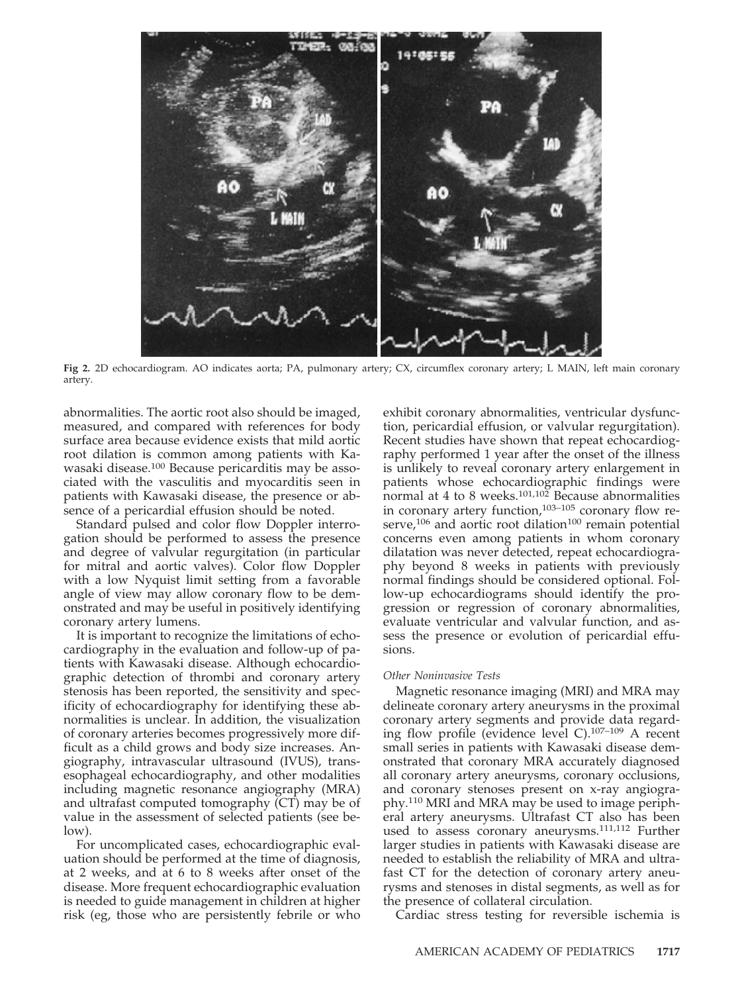

**Fig 2.** 2D echocardiogram. AO indicates aorta; PA, pulmonary artery; CX, circumflex coronary artery; L MAIN, left main coronary artery.

abnormalities. The aortic root also should be imaged, measured, and compared with references for body surface area because evidence exists that mild aortic root dilation is common among patients with Kawasaki disease.100 Because pericarditis may be associated with the vasculitis and myocarditis seen in patients with Kawasaki disease, the presence or absence of a pericardial effusion should be noted.

Standard pulsed and color flow Doppler interrogation should be performed to assess the presence and degree of valvular regurgitation (in particular for mitral and aortic valves). Color flow Doppler with a low Nyquist limit setting from a favorable angle of view may allow coronary flow to be demonstrated and may be useful in positively identifying coronary artery lumens.

It is important to recognize the limitations of echocardiography in the evaluation and follow-up of patients with Kawasaki disease. Although echocardiographic detection of thrombi and coronary artery stenosis has been reported, the sensitivity and specificity of echocardiography for identifying these abnormalities is unclear. In addition, the visualization of coronary arteries becomes progressively more difficult as a child grows and body size increases. Angiography, intravascular ultrasound (IVUS), transesophageal echocardiography, and other modalities including magnetic resonance angiography (MRA) and ultrafast computed tomography (CT) may be of value in the assessment of selected patients (see below).

For uncomplicated cases, echocardiographic evaluation should be performed at the time of diagnosis, at 2 weeks, and at 6 to 8 weeks after onset of the disease. More frequent echocardiographic evaluation is needed to guide management in children at higher risk (eg, those who are persistently febrile or who

exhibit coronary abnormalities, ventricular dysfunction, pericardial effusion, or valvular regurgitation). Recent studies have shown that repeat echocardiography performed 1 year after the onset of the illness is unlikely to reveal coronary artery enlargement in patients whose echocardiographic findings were normal at 4 to 8 weeks.<sup>101,102</sup> Because abnormalities in coronary artery function,<sup>103-105</sup> coronary flow reserve, $106$  and aortic root dilation $100$  remain potential concerns even among patients in whom coronary dilatation was never detected, repeat echocardiography beyond 8 weeks in patients with previously normal findings should be considered optional. Follow-up echocardiograms should identify the progression or regression of coronary abnormalities, evaluate ventricular and valvular function, and assess the presence or evolution of pericardial effusions.

#### *Other Noninvasive Tests*

Magnetic resonance imaging (MRI) and MRA may delineate coronary artery aneurysms in the proximal coronary artery segments and provide data regarding flow profile (evidence level C).<sup>107-109</sup> A recent small series in patients with Kawasaki disease demonstrated that coronary MRA accurately diagnosed all coronary artery aneurysms, coronary occlusions, and coronary stenoses present on x-ray angiography.110 MRI and MRA may be used to image peripheral artery aneurysms. Ultrafast CT also has been used to assess coronary aneurysms.111,112 Further larger studies in patients with Kawasaki disease are needed to establish the reliability of MRA and ultrafast CT for the detection of coronary artery aneurysms and stenoses in distal segments, as well as for the presence of collateral circulation.

Cardiac stress testing for reversible ischemia is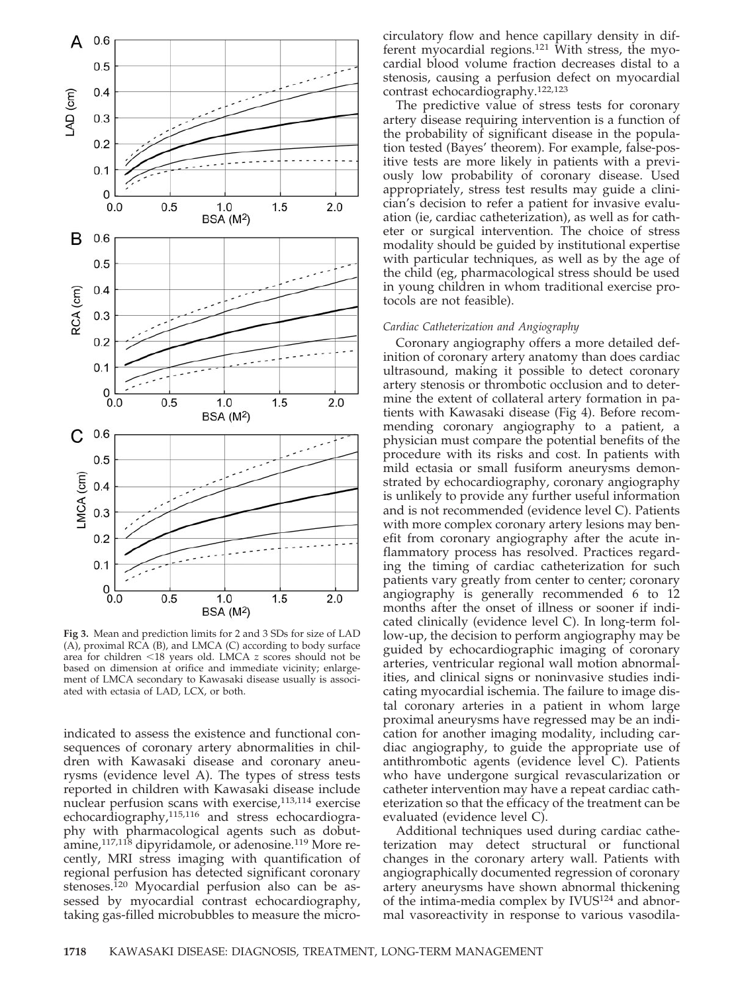

**Fig 3.** Mean and prediction limits for 2 and 3 SDs for size of LAD (A), proximal RCA (B), and LMCA (C) according to body surface area for children -18 years old. LMCA *z* scores should not be based on dimension at orifice and immediate vicinity; enlargement of LMCA secondary to Kawasaki disease usually is associated with ectasia of LAD, LCX, or both.

indicated to assess the existence and functional consequences of coronary artery abnormalities in children with Kawasaki disease and coronary aneurysms (evidence level A). The types of stress tests reported in children with Kawasaki disease include nuclear perfusion scans with exercise,<sup>113,114</sup> exercise echocardiography,115,116 and stress echocardiography with pharmacological agents such as dobutamine,<sup>117,118</sup> dipyridamole, or adenosine.<sup>119</sup> More recently, MRI stress imaging with quantification of regional perfusion has detected significant coronary stenoses.120 Myocardial perfusion also can be assessed by myocardial contrast echocardiography, taking gas-filled microbubbles to measure the micro-

circulatory flow and hence capillary density in different myocardial regions.121 With stress, the myocardial blood volume fraction decreases distal to a stenosis, causing a perfusion defect on myocardial contrast echocardiography.122,123

The predictive value of stress tests for coronary artery disease requiring intervention is a function of the probability of significant disease in the population tested (Bayes' theorem). For example, false-positive tests are more likely in patients with a previously low probability of coronary disease. Used appropriately, stress test results may guide a clinician's decision to refer a patient for invasive evaluation (ie, cardiac catheterization), as well as for catheter or surgical intervention. The choice of stress modality should be guided by institutional expertise with particular techniques, as well as by the age of the child (eg, pharmacological stress should be used in young children in whom traditional exercise protocols are not feasible).

#### *Cardiac Catheterization and Angiography*

Coronary angiography offers a more detailed definition of coronary artery anatomy than does cardiac ultrasound, making it possible to detect coronary artery stenosis or thrombotic occlusion and to determine the extent of collateral artery formation in patients with Kawasaki disease (Fig 4). Before recommending coronary angiography to a patient, a physician must compare the potential benefits of the procedure with its risks and cost. In patients with mild ectasia or small fusiform aneurysms demonstrated by echocardiography, coronary angiography is unlikely to provide any further useful information and is not recommended (evidence level C). Patients with more complex coronary artery lesions may benefit from coronary angiography after the acute inflammatory process has resolved. Practices regarding the timing of cardiac catheterization for such patients vary greatly from center to center; coronary angiography is generally recommended 6 to 12 months after the onset of illness or sooner if indicated clinically (evidence level C). In long-term follow-up, the decision to perform angiography may be guided by echocardiographic imaging of coronary arteries, ventricular regional wall motion abnormalities, and clinical signs or noninvasive studies indicating myocardial ischemia. The failure to image distal coronary arteries in a patient in whom large proximal aneurysms have regressed may be an indication for another imaging modality, including cardiac angiography, to guide the appropriate use of antithrombotic agents (evidence level C). Patients who have undergone surgical revascularization or catheter intervention may have a repeat cardiac catheterization so that the efficacy of the treatment can be evaluated (evidence level C).

Additional techniques used during cardiac catheterization may detect structural or functional changes in the coronary artery wall. Patients with angiographically documented regression of coronary artery aneurysms have shown abnormal thickening of the intima-media complex by IVUS124 and abnormal vasoreactivity in response to various vasodila-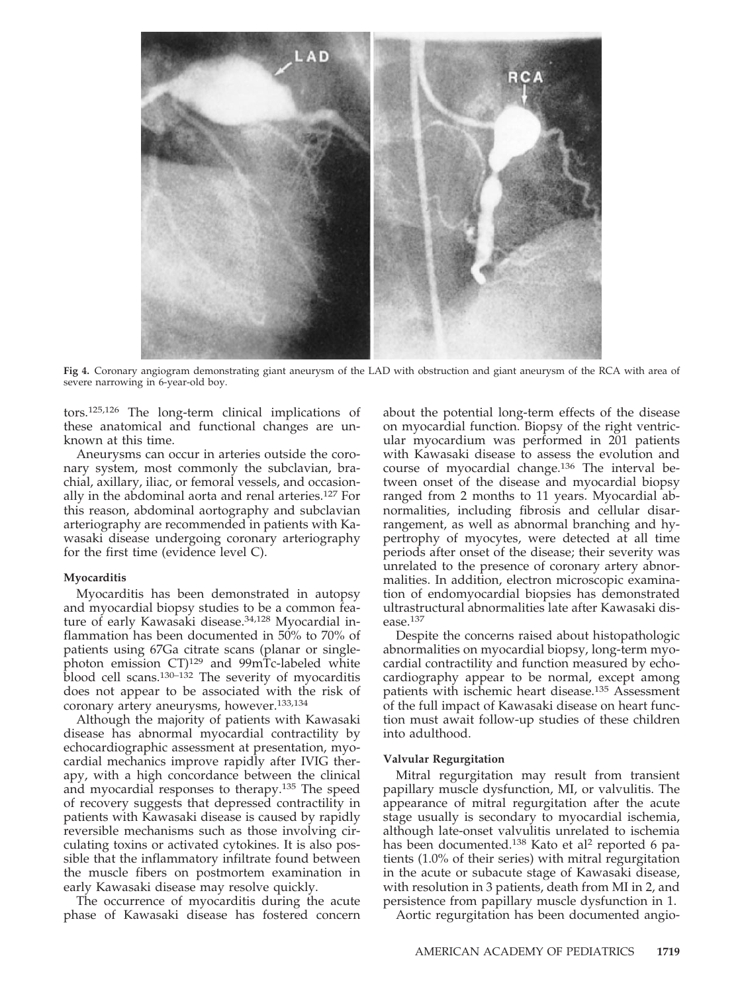

**Fig 4.** Coronary angiogram demonstrating giant aneurysm of the LAD with obstruction and giant aneurysm of the RCA with area of severe narrowing in 6-year-old boy.

tors.125,126 The long-term clinical implications of these anatomical and functional changes are unknown at this time.

Aneurysms can occur in arteries outside the coronary system, most commonly the subclavian, brachial, axillary, iliac, or femoral vessels, and occasionally in the abdominal aorta and renal arteries.127 For this reason, abdominal aortography and subclavian arteriography are recommended in patients with Kawasaki disease undergoing coronary arteriography for the first time (evidence level C).

#### **Myocarditis**

Myocarditis has been demonstrated in autopsy and myocardial biopsy studies to be a common feature of early Kawasaki disease.<sup>34,128</sup> Myocardial inflammation has been documented in 50% to 70% of patients using 67Ga citrate scans (planar or singlephoton emission CT)<sup>129</sup> and 99mTc-labeled white  $\frac{1}{2}$ blood cell scans.<sup>130–132</sup> The severity of myocarditis does not appear to be associated with the risk of coronary artery aneurysms, however.<sup>133,134</sup>

Although the majority of patients with Kawasaki disease has abnormal myocardial contractility by echocardiographic assessment at presentation, myocardial mechanics improve rapidly after IVIG therapy, with a high concordance between the clinical and myocardial responses to therapy.135 The speed of recovery suggests that depressed contractility in patients with Kawasaki disease is caused by rapidly reversible mechanisms such as those involving circulating toxins or activated cytokines. It is also possible that the inflammatory infiltrate found between the muscle fibers on postmortem examination in early Kawasaki disease may resolve quickly.

The occurrence of myocarditis during the acute phase of Kawasaki disease has fostered concern

about the potential long-term effects of the disease on myocardial function. Biopsy of the right ventricular myocardium was performed in 201 patients with Kawasaki disease to assess the evolution and course of myocardial change.136 The interval between onset of the disease and myocardial biopsy ranged from 2 months to 11 years. Myocardial abnormalities, including fibrosis and cellular disarrangement, as well as abnormal branching and hypertrophy of myocytes, were detected at all time periods after onset of the disease; their severity was unrelated to the presence of coronary artery abnormalities. In addition, electron microscopic examination of endomyocardial biopsies has demonstrated ultrastructural abnormalities late after Kawasaki disease.137

Despite the concerns raised about histopathologic abnormalities on myocardial biopsy, long-term myocardial contractility and function measured by echocardiography appear to be normal, except among patients with ischemic heart disease.<sup>135</sup> Assessment of the full impact of Kawasaki disease on heart function must await follow-up studies of these children into adulthood.

#### **Valvular Regurgitation**

Mitral regurgitation may result from transient papillary muscle dysfunction, MI, or valvulitis. The appearance of mitral regurgitation after the acute stage usually is secondary to myocardial ischemia, although late-onset valvulitis unrelated to ischemia has been documented.<sup>138</sup> Kato et al<sup>2</sup> reported 6 patients (1.0% of their series) with mitral regurgitation in the acute or subacute stage of Kawasaki disease, with resolution in 3 patients, death from MI in 2, and persistence from papillary muscle dysfunction in 1.

Aortic regurgitation has been documented angio-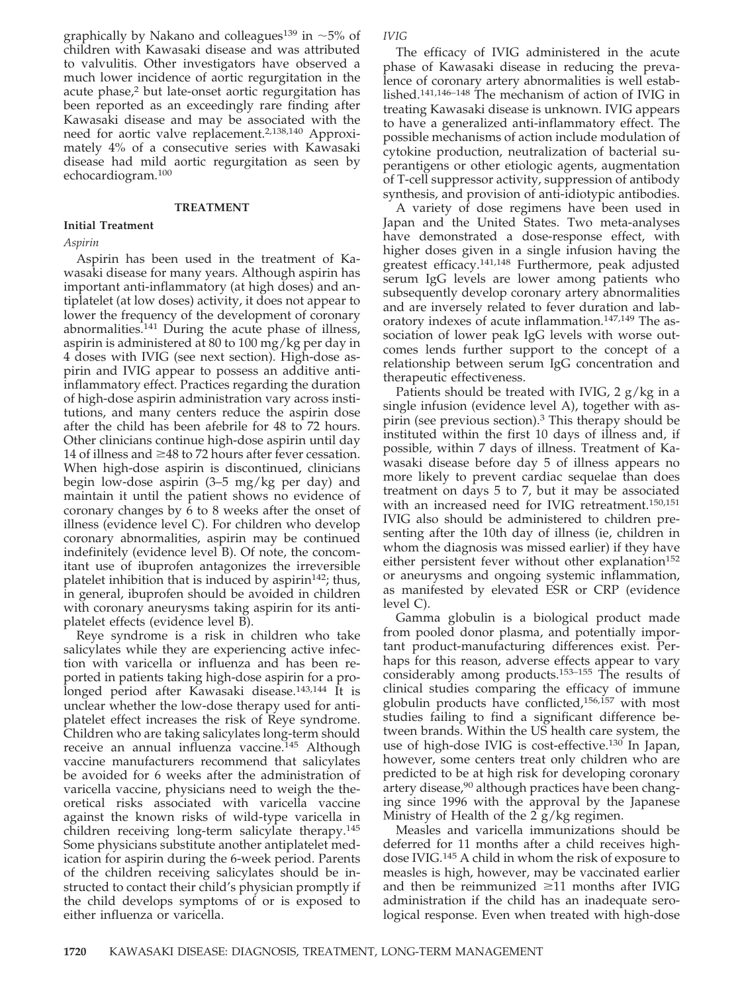graphically by Nakano and colleagues<sup>139</sup> in  $\sim$ 5% of children with Kawasaki disease and was attributed to valvulitis. Other investigators have observed a much lower incidence of aortic regurgitation in the acute phase,<sup>2</sup> but late-onset aortic regurgitation has been reported as an exceedingly rare finding after Kawasaki disease and may be associated with the need for aortic valve replacement.2,138,140 Approximately 4% of a consecutive series with Kawasaki disease had mild aortic regurgitation as seen by echocardiogram.100

#### **TREATMENT**

#### **Initial Treatment**

# *Aspirin*

Aspirin has been used in the treatment of Kawasaki disease for many years. Although aspirin has important anti-inflammatory (at high doses) and antiplatelet (at low doses) activity, it does not appear to lower the frequency of the development of coronary abnormalities.<sup>141</sup> During the acute phase of illness, aspirin is administered at 80 to 100 mg/kg per day in 4 doses with IVIG (see next section). High-dose aspirin and IVIG appear to possess an additive antiinflammatory effect. Practices regarding the duration of high-dose aspirin administration vary across institutions, and many centers reduce the aspirin dose after the child has been afebrile for 48 to 72 hours. Other clinicians continue high-dose aspirin until day 14 of illness and  $\geq$  48 to 72 hours after fever cessation. When high-dose aspirin is discontinued, clinicians begin low-dose aspirin (3–5 mg/kg per day) and maintain it until the patient shows no evidence of coronary changes by 6 to 8 weeks after the onset of illness (evidence level C). For children who develop coronary abnormalities, aspirin may be continued indefinitely (evidence level B). Of note, the concomitant use of ibuprofen antagonizes the irreversible platelet inhibition that is induced by aspirin<sup>142</sup>; thus, in general, ibuprofen should be avoided in children with coronary aneurysms taking aspirin for its antiplatelet effects (evidence level B).

Reye syndrome is a risk in children who take salicylates while they are experiencing active infection with varicella or influenza and has been reported in patients taking high-dose aspirin for a prolonged period after Kawasaki disease.143,144 It is unclear whether the low-dose therapy used for antiplatelet effect increases the risk of Reye syndrome. Children who are taking salicylates long-term should receive an annual influenza vaccine.<sup>145</sup> Although vaccine manufacturers recommend that salicylates be avoided for 6 weeks after the administration of varicella vaccine, physicians need to weigh the theoretical risks associated with varicella vaccine against the known risks of wild-type varicella in children receiving long-term salicylate therapy.145 Some physicians substitute another antiplatelet medication for aspirin during the 6-week period. Parents of the children receiving salicylates should be instructed to contact their child's physician promptly if the child develops symptoms of or is exposed to either influenza or varicella.

The efficacy of IVIG administered in the acute phase of Kawasaki disease in reducing the prevalence of coronary artery abnormalities is well established.141,146–148 The mechanism of action of IVIG in treating Kawasaki disease is unknown. IVIG appears to have a generalized anti-inflammatory effect. The possible mechanisms of action include modulation of cytokine production, neutralization of bacterial superantigens or other etiologic agents, augmentation of T-cell suppressor activity, suppression of antibody synthesis, and provision of anti-idiotypic antibodies.

A variety of dose regimens have been used in Japan and the United States. Two meta-analyses have demonstrated a dose-response effect, with higher doses given in a single infusion having the greatest efficacy.141,148 Furthermore, peak adjusted serum IgG levels are lower among patients who subsequently develop coronary artery abnormalities and are inversely related to fever duration and laboratory indexes of acute inflammation.<sup>147,149</sup> The association of lower peak IgG levels with worse outcomes lends further support to the concept of a relationship between serum IgG concentration and therapeutic effectiveness.

Patients should be treated with IVIG,  $2 g/kg$  in a single infusion (evidence level A), together with aspirin (see previous section).3 This therapy should be instituted within the first 10 days of illness and, if possible, within 7 days of illness. Treatment of Kawasaki disease before day 5 of illness appears no more likely to prevent cardiac sequelae than does treatment on days 5 to 7, but it may be associated with an increased need for IVIG retreatment.<sup>150,151</sup> IVIG also should be administered to children presenting after the 10th day of illness (ie, children in whom the diagnosis was missed earlier) if they have either persistent fever without other explanation<sup>152</sup> or aneurysms and ongoing systemic inflammation, as manifested by elevated ESR or CRP (evidence level C).

Gamma globulin is a biological product made from pooled donor plasma, and potentially important product-manufacturing differences exist. Perhaps for this reason, adverse effects appear to vary considerably among products.<sup>153-155</sup> The results of clinical studies comparing the efficacy of immune globulin products have conflicted,<sup>156,157</sup> with most studies failing to find a significant difference between brands. Within the US health care system, the use of high-dose IVIG is cost-effective.<sup>130</sup> In Japan, however, some centers treat only children who are predicted to be at high risk for developing coronary artery disease,<sup>90</sup> although practices have been changing since 1996 with the approval by the Japanese Ministry of Health of the 2 g/kg regimen.

Measles and varicella immunizations should be deferred for 11 months after a child receives highdose IVIG.145 A child in whom the risk of exposure to measles is high, however, may be vaccinated earlier and then be reimmunized  $\geq 11$  months after IVIG administration if the child has an inadequate serological response. Even when treated with high-dose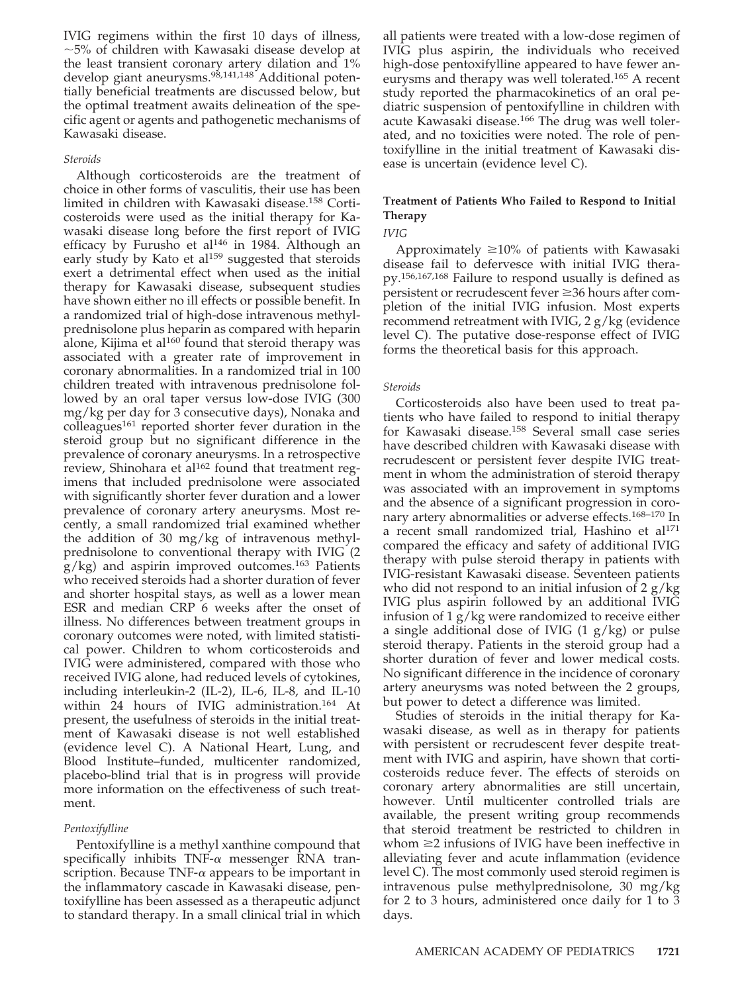IVIG regimens within the first 10 days of illness,  $\sim$ 5% of children with Kawasaki disease develop at the least transient coronary artery dilation and 1% develop giant aneurysms.<sup>98,141,148</sup> Additional potentially beneficial treatments are discussed below, but the optimal treatment awaits delineation of the specific agent or agents and pathogenetic mechanisms of Kawasaki disease.

#### *Steroids*

Although corticosteroids are the treatment of choice in other forms of vasculitis, their use has been limited in children with Kawasaki disease.158 Corticosteroids were used as the initial therapy for Kawasaki disease long before the first report of IVIG efficacy by Furusho et al $146$  in 1984. Although an early study by Kato et al<sup>159</sup> suggested that steroids exert a detrimental effect when used as the initial therapy for Kawasaki disease, subsequent studies have shown either no ill effects or possible benefit. In a randomized trial of high-dose intravenous methylprednisolone plus heparin as compared with heparin alone, Kijima et al<sup>160</sup> found that steroid therapy was associated with a greater rate of improvement in coronary abnormalities. In a randomized trial in 100 children treated with intravenous prednisolone followed by an oral taper versus low-dose IVIG (300 mg/kg per day for 3 consecutive days), Nonaka and colleagues<sup>161</sup> reported shorter fever duration in the steroid group but no significant difference in the prevalence of coronary aneurysms. In a retrospective review, Shinohara et al<sup>162</sup> found that treatment regimens that included prednisolone were associated with significantly shorter fever duration and a lower prevalence of coronary artery aneurysms. Most recently, a small randomized trial examined whether the addition of 30 mg/kg of intravenous methylprednisolone to conventional therapy with IVIG (2 g/kg) and aspirin improved outcomes.163 Patients who received steroids had a shorter duration of fever and shorter hospital stays, as well as a lower mean ESR and median CRP 6 weeks after the onset of illness. No differences between treatment groups in coronary outcomes were noted, with limited statistical power. Children to whom corticosteroids and IVIG were administered, compared with those who received IVIG alone, had reduced levels of cytokines, including interleukin-2 (IL-2), IL-6, IL-8, and IL-10 within 24 hours of IVIG administration.164 At present, the usefulness of steroids in the initial treatment of Kawasaki disease is not well established (evidence level C). A National Heart, Lung, and Blood Institute–funded, multicenter randomized, placebo-blind trial that is in progress will provide more information on the effectiveness of such treatment.

## *Pentoxifylline*

Pentoxifylline is a methyl xanthine compound that specifically inhibits TNF- $\alpha$  messenger RNA transcription. Because TNF- $\alpha$  appears to be important in the inflammatory cascade in Kawasaki disease, pentoxifylline has been assessed as a therapeutic adjunct to standard therapy. In a small clinical trial in which

all patients were treated with a low-dose regimen of IVIG plus aspirin, the individuals who received high-dose pentoxifylline appeared to have fewer aneurysms and therapy was well tolerated.165 A recent study reported the pharmacokinetics of an oral pediatric suspension of pentoxifylline in children with acute Kawasaki disease.<sup>166</sup> The drug was well tolerated, and no toxicities were noted. The role of pentoxifylline in the initial treatment of Kawasaki disease is uncertain (evidence level C).

# **Treatment of Patients Who Failed to Respond to Initial Therapy**

## *IVIG*

Approximately  $\geq 10\%$  of patients with Kawasaki disease fail to defervesce with initial IVIG therapy.156,167,168 Failure to respond usually is defined as persistent or recrudescent fever 36 hours after completion of the initial IVIG infusion. Most experts recommend retreatment with IVIG,  $2 g/kg$  (evidence level C). The putative dose-response effect of IVIG forms the theoretical basis for this approach.

# *Steroids*

Corticosteroids also have been used to treat patients who have failed to respond to initial therapy for Kawasaki disease.158 Several small case series have described children with Kawasaki disease with recrudescent or persistent fever despite IVIG treatment in whom the administration of steroid therapy was associated with an improvement in symptoms and the absence of a significant progression in coronary artery abnormalities or adverse effects.<sup>168–170</sup> In a recent small randomized trial, Hashino et al<sup>171</sup> compared the efficacy and safety of additional IVIG therapy with pulse steroid therapy in patients with IVIG-resistant Kawasaki disease. Seventeen patients who did not respond to an initial infusion of 2 g/kg IVIG plus aspirin followed by an additional IVIG infusion of 1 g/kg were randomized to receive either a single additional dose of IVIG  $(1 \text{ g/kg})$  or pulse steroid therapy. Patients in the steroid group had a shorter duration of fever and lower medical costs. No significant difference in the incidence of coronary artery aneurysms was noted between the 2 groups, but power to detect a difference was limited.

Studies of steroids in the initial therapy for Kawasaki disease, as well as in therapy for patients with persistent or recrudescent fever despite treatment with IVIG and aspirin, have shown that corticosteroids reduce fever. The effects of steroids on coronary artery abnormalities are still uncertain, however. Until multicenter controlled trials are available, the present writing group recommends that steroid treatment be restricted to children in whom  $\geq$  infusions of IVIG have been ineffective in alleviating fever and acute inflammation (evidence level C). The most commonly used steroid regimen is intravenous pulse methylprednisolone, 30 mg/kg for 2 to 3 hours, administered once daily for 1 to 3 days.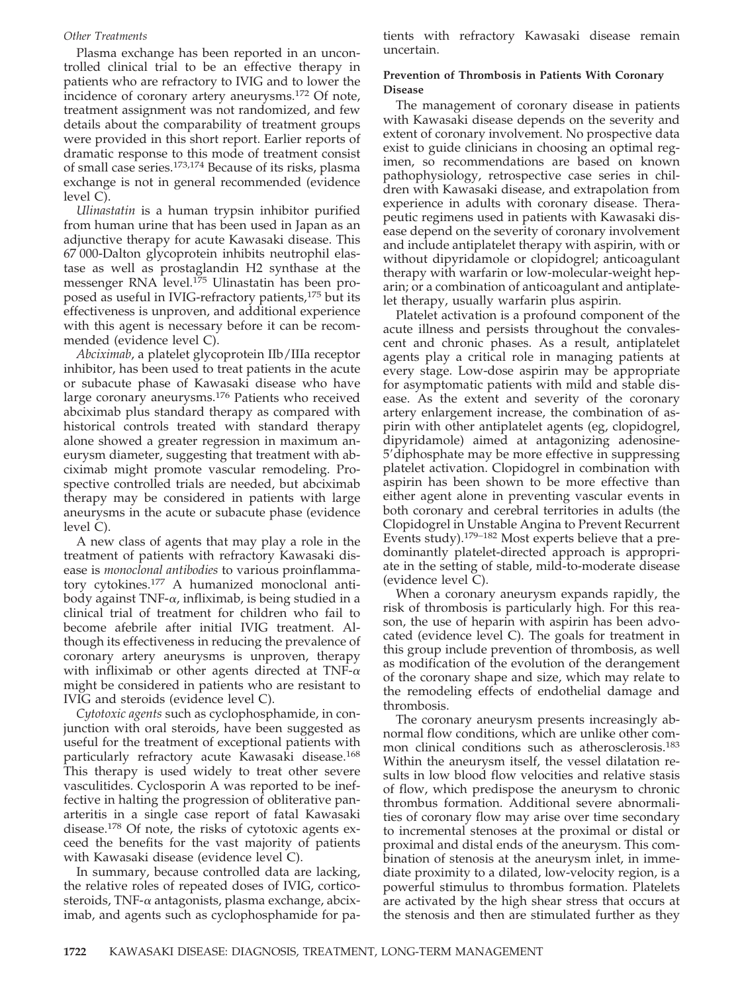#### *Other Treatments*

Plasma exchange has been reported in an uncontrolled clinical trial to be an effective therapy in patients who are refractory to IVIG and to lower the incidence of coronary artery aneurysms.172 Of note, treatment assignment was not randomized, and few details about the comparability of treatment groups were provided in this short report. Earlier reports of dramatic response to this mode of treatment consist of small case series.173,174 Because of its risks, plasma exchange is not in general recommended (evidence level C).

*Ulinastatin* is a human trypsin inhibitor purified from human urine that has been used in Japan as an adjunctive therapy for acute Kawasaki disease. This 67 000-Dalton glycoprotein inhibits neutrophil elastase as well as prostaglandin H2 synthase at the messenger RNA level.<sup>175</sup> Ulinastatin has been proposed as useful in IVIG-refractory patients,<sup>175</sup> but its effectiveness is unproven, and additional experience with this agent is necessary before it can be recommended (evidence level C).

*Abciximab*, a platelet glycoprotein IIb/IIIa receptor inhibitor, has been used to treat patients in the acute or subacute phase of Kawasaki disease who have large coronary aneurysms.176 Patients who received abciximab plus standard therapy as compared with historical controls treated with standard therapy alone showed a greater regression in maximum aneurysm diameter, suggesting that treatment with abciximab might promote vascular remodeling. Prospective controlled trials are needed, but abciximab therapy may be considered in patients with large aneurysms in the acute or subacute phase (evidence level C).

A new class of agents that may play a role in the treatment of patients with refractory Kawasaki disease is *monoclonal antibodies* to various proinflammatory cytokines.177 A humanized monoclonal antibody against TNF- $\alpha$ , infliximab, is being studied in a clinical trial of treatment for children who fail to become afebrile after initial IVIG treatment. Although its effectiveness in reducing the prevalence of coronary artery aneurysms is unproven, therapy with infliximab or other agents directed at TNF- $\alpha$ might be considered in patients who are resistant to IVIG and steroids (evidence level C).

*Cytotoxic agents* such as cyclophosphamide, in conjunction with oral steroids, have been suggested as useful for the treatment of exceptional patients with particularly refractory acute Kawasaki disease.168 This therapy is used widely to treat other severe vasculitides. Cyclosporin A was reported to be ineffective in halting the progression of obliterative panarteritis in a single case report of fatal Kawasaki disease.178 Of note, the risks of cytotoxic agents exceed the benefits for the vast majority of patients with Kawasaki disease (evidence level C).

In summary, because controlled data are lacking, the relative roles of repeated doses of IVIG, corticosteroids, TNF- $\alpha$  antagonists, plasma exchange, abciximab, and agents such as cyclophosphamide for patients with refractory Kawasaki disease remain uncertain.

# **Prevention of Thrombosis in Patients With Coronary Disease**

The management of coronary disease in patients with Kawasaki disease depends on the severity and extent of coronary involvement. No prospective data exist to guide clinicians in choosing an optimal regimen, so recommendations are based on known pathophysiology, retrospective case series in children with Kawasaki disease, and extrapolation from experience in adults with coronary disease. Therapeutic regimens used in patients with Kawasaki disease depend on the severity of coronary involvement and include antiplatelet therapy with aspirin, with or without dipyridamole or clopidogrel; anticoagulant therapy with warfarin or low-molecular-weight heparin; or a combination of anticoagulant and antiplatelet therapy, usually warfarin plus aspirin.

Platelet activation is a profound component of the acute illness and persists throughout the convalescent and chronic phases. As a result, antiplatelet agents play a critical role in managing patients at every stage. Low-dose aspirin may be appropriate for asymptomatic patients with mild and stable disease. As the extent and severity of the coronary artery enlargement increase, the combination of aspirin with other antiplatelet agents (eg, clopidogrel, dipyridamole) aimed at antagonizing adenosine-5' diphosphate may be more effective in suppressing platelet activation. Clopidogrel in combination with aspirin has been shown to be more effective than either agent alone in preventing vascular events in both coronary and cerebral territories in adults (the Clopidogrel in Unstable Angina to Prevent Recurrent Events study).179–182 Most experts believe that a predominantly platelet-directed approach is appropriate in the setting of stable, mild-to-moderate disease (evidence level C).

When a coronary aneurysm expands rapidly, the risk of thrombosis is particularly high. For this reason, the use of heparin with aspirin has been advocated (evidence level C). The goals for treatment in this group include prevention of thrombosis, as well as modification of the evolution of the derangement of the coronary shape and size, which may relate to the remodeling effects of endothelial damage and thrombosis.

The coronary aneurysm presents increasingly abnormal flow conditions, which are unlike other common clinical conditions such as atherosclerosis.<sup>183</sup> Within the aneurysm itself, the vessel dilatation results in low blood flow velocities and relative stasis of flow, which predispose the aneurysm to chronic thrombus formation. Additional severe abnormalities of coronary flow may arise over time secondary to incremental stenoses at the proximal or distal or proximal and distal ends of the aneurysm. This combination of stenosis at the aneurysm inlet, in immediate proximity to a dilated, low-velocity region, is a powerful stimulus to thrombus formation. Platelets are activated by the high shear stress that occurs at the stenosis and then are stimulated further as they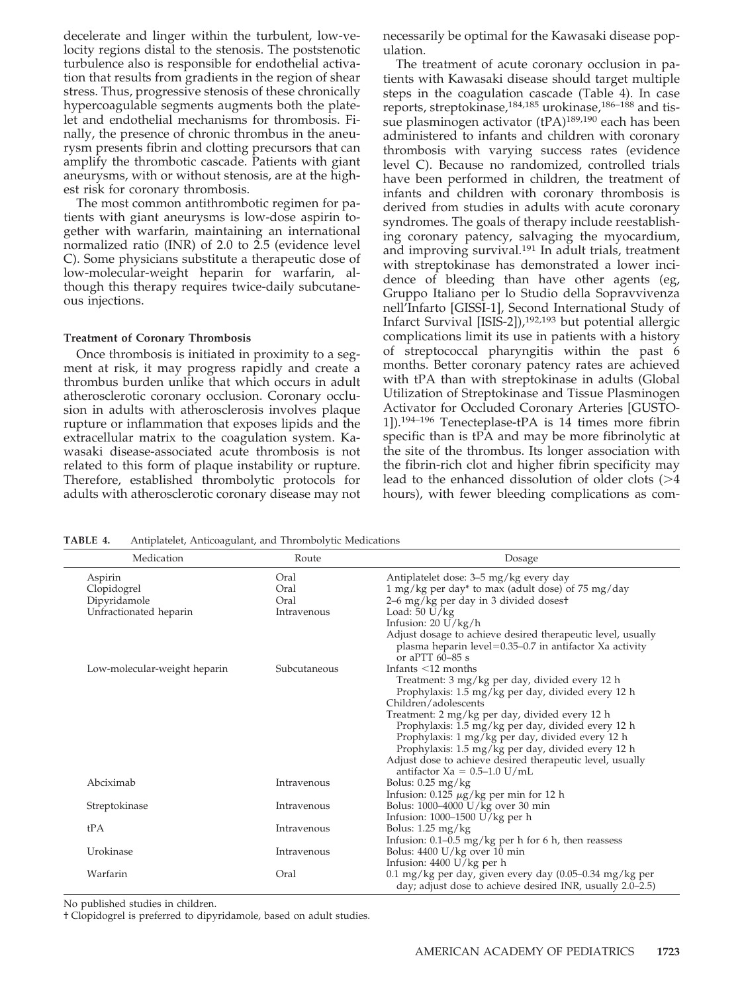decelerate and linger within the turbulent, low-velocity regions distal to the stenosis. The poststenotic turbulence also is responsible for endothelial activation that results from gradients in the region of shear stress. Thus, progressive stenosis of these chronically hypercoagulable segments augments both the platelet and endothelial mechanisms for thrombosis. Finally, the presence of chronic thrombus in the aneurysm presents fibrin and clotting precursors that can amplify the thrombotic cascade. Patients with giant aneurysms, with or without stenosis, are at the highest risk for coronary thrombosis.

The most common antithrombotic regimen for patients with giant aneurysms is low-dose aspirin together with warfarin, maintaining an international normalized ratio (INR) of 2.0 to 2.5 (evidence level C). Some physicians substitute a therapeutic dose of low-molecular-weight heparin for warfarin, although this therapy requires twice-daily subcutaneous injections.

#### **Treatment of Coronary Thrombosis**

Once thrombosis is initiated in proximity to a segment at risk, it may progress rapidly and create a thrombus burden unlike that which occurs in adult atherosclerotic coronary occlusion. Coronary occlusion in adults with atherosclerosis involves plaque rupture or inflammation that exposes lipids and the extracellular matrix to the coagulation system. Kawasaki disease-associated acute thrombosis is not related to this form of plaque instability or rupture. Therefore, established thrombolytic protocols for adults with atherosclerotic coronary disease may not necessarily be optimal for the Kawasaki disease population.

The treatment of acute coronary occlusion in patients with Kawasaki disease should target multiple steps in the coagulation cascade (Table 4). In case reports, streptokinase,<sup>184,185</sup> urokinase,<sup>186-188</sup> and tissue plasminogen activator (tPA)189,190 each has been administered to infants and children with coronary thrombosis with varying success rates (evidence level C). Because no randomized, controlled trials have been performed in children, the treatment of infants and children with coronary thrombosis is derived from studies in adults with acute coronary syndromes. The goals of therapy include reestablishing coronary patency, salvaging the myocardium, and improving survival.<sup>191</sup> In adult trials, treatment with streptokinase has demonstrated a lower incidence of bleeding than have other agents (eg, Gruppo Italiano per lo Studio della Sopravvivenza nell'Infarto [GISSI-1], Second International Study of Infarct Survival [ISIS-2]),<sup>192,193</sup> but potential allergic complications limit its use in patients with a history of streptococcal pharyngitis within the past 6 months. Better coronary patency rates are achieved with tPA than with streptokinase in adults (Global Utilization of Streptokinase and Tissue Plasminogen Activator for Occluded Coronary Arteries [GUSTO-1]).194–196 Tenecteplase-tPA is 14 times more fibrin specific than is tPA and may be more fibrinolytic at the site of the thrombus. Its longer association with the fibrin-rich clot and higher fibrin specificity may lead to the enhanced dissolution of older clots  $(>4)$ hours), with fewer bleeding complications as com-

**TABLE 4.** Antiplatelet, Anticoagulant, and Thrombolytic Medications

| Medication                   | Route        | Dosage                                                      |
|------------------------------|--------------|-------------------------------------------------------------|
| Aspirin                      | Oral         | Antiplatelet dose: 3-5 mg/kg every day                      |
| Clopidogrel                  | Oral         | 1 mg/kg per day* to max (adult dose) of 75 mg/day           |
| Dipyridamole                 | Oral         | 2-6 mg/kg per day in 3 divided dosest                       |
| Unfractionated heparin       | Intravenous  | Load: $50 \text{ U/kg}$                                     |
|                              |              | Infusion: $20 U/kg/h$                                       |
|                              |              | Adjust dosage to achieve desired therapeutic level, usually |
|                              |              | plasma heparin level= $0.35-0.7$ in antifactor Xa activity  |
|                              |              | or aPTT $60-85$ s                                           |
| Low-molecular-weight heparin | Subcutaneous | Infants $\leq 12$ months                                    |
|                              |              | Treatment: 3 mg/kg per day, divided every 12 h              |
|                              |              | Prophylaxis: 1.5 mg/kg per day, divided every 12 h          |
|                              |              | Children/adolescents                                        |
|                              |              | Treatment: 2 mg/kg per day, divided every 12 h              |
|                              |              | Prophylaxis: 1.5 mg/kg per day, divided every 12 h          |
|                              |              | Prophylaxis: 1 mg/kg per day, divided every 12 h            |
|                              |              | Prophylaxis: 1.5 mg/kg per day, divided every 12 h          |
|                              |              | Adjust dose to achieve desired therapeutic level, usually   |
|                              |              | antifactor $Xa = 0.5-1.0$ U/mL                              |
| Abciximab                    | Intravenous  | Bolus: $0.25 \text{ mg/kg}$                                 |
|                              |              | Infusion: $0.125 \mu g/kg$ per min for 12 h                 |
| Streptokinase                | Intravenous  | Bolus: 1000-4000 U/kg over 30 min                           |
|                              |              | Infusion: $1000-1500$ U/kg per h                            |
| tPA                          | Intravenous  | Bolus: $1.25 \text{ mg/kg}$                                 |
|                              |              | Infusion: 0.1-0.5 mg/kg per h for 6 h, then reassess        |
| Urokinase                    | Intravenous  | Bolus: 4400 U/kg over 10 min                                |
|                              |              | Infusion: 4400 U/kg per h                                   |
| Warfarin                     | Oral         | 0.1 mg/kg per day, given every day (0.05–0.34 mg/kg per     |
|                              |              | day; adjust dose to achieve desired INR, usually 2.0-2.5)   |

No published studies in children.

† Clopidogrel is preferred to dipyridamole, based on adult studies.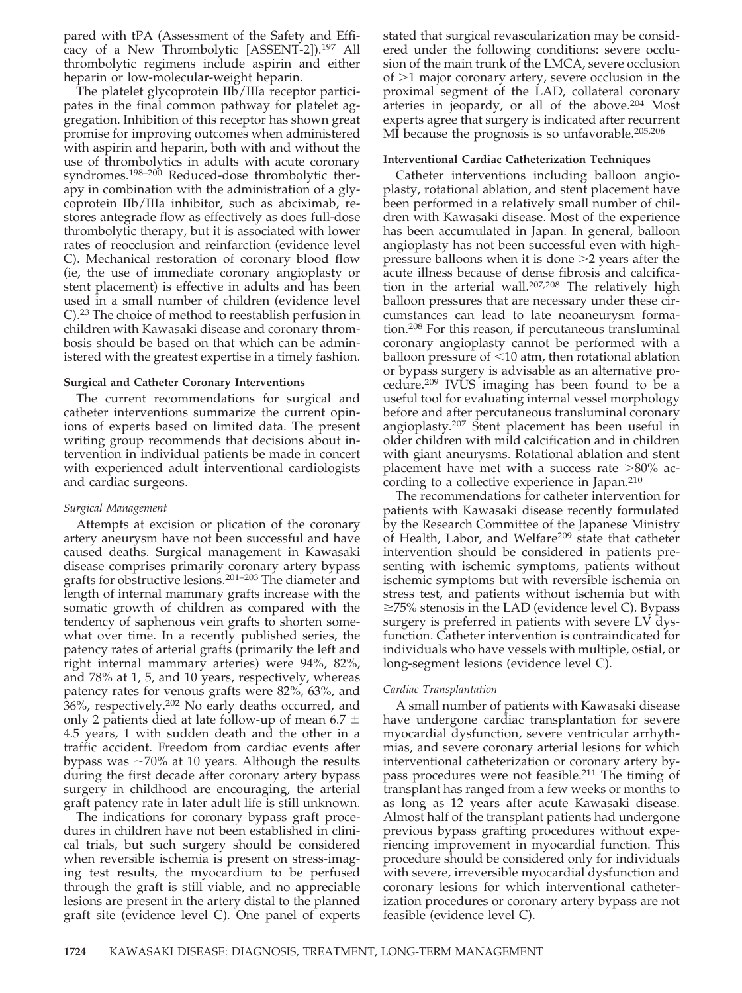pared with tPA (Assessment of the Safety and Efficacy of a New Thrombolytic [ASSENT-2]).197 All thrombolytic regimens include aspirin and either heparin or low-molecular-weight heparin.

The platelet glycoprotein IIb/IIIa receptor participates in the final common pathway for platelet aggregation. Inhibition of this receptor has shown great promise for improving outcomes when administered with aspirin and heparin, both with and without the use of thrombolytics in adults with acute coronary syndromes.198–200 Reduced-dose thrombolytic therapy in combination with the administration of a glycoprotein IIb/IIIa inhibitor, such as abciximab, restores antegrade flow as effectively as does full-dose thrombolytic therapy, but it is associated with lower rates of reocclusion and reinfarction (evidence level C). Mechanical restoration of coronary blood flow (ie, the use of immediate coronary angioplasty or stent placement) is effective in adults and has been used in a small number of children (evidence level C).23 The choice of method to reestablish perfusion in children with Kawasaki disease and coronary thrombosis should be based on that which can be administered with the greatest expertise in a timely fashion.

#### **Surgical and Catheter Coronary Interventions**

The current recommendations for surgical and catheter interventions summarize the current opinions of experts based on limited data. The present writing group recommends that decisions about intervention in individual patients be made in concert with experienced adult interventional cardiologists and cardiac surgeons.

#### *Surgical Management*

Attempts at excision or plication of the coronary artery aneurysm have not been successful and have caused deaths. Surgical management in Kawasaki disease comprises primarily coronary artery bypass grafts for obstructive lesions.201–203 The diameter and length of internal mammary grafts increase with the somatic growth of children as compared with the tendency of saphenous vein grafts to shorten somewhat over time. In a recently published series, the patency rates of arterial grafts (primarily the left and right internal mammary arteries) were 94%, 82%, and 78% at 1, 5, and 10 years, respectively, whereas patency rates for venous grafts were 82%, 63%, and 36%, respectively.202 No early deaths occurred, and only 2 patients died at late follow-up of mean 6.7  $\pm$ 4.5 years, 1 with sudden death and the other in a traffic accident. Freedom from cardiac events after bypass was  $\sim$ 70% at 10 years. Although the results during the first decade after coronary artery bypass surgery in childhood are encouraging, the arterial graft patency rate in later adult life is still unknown.

The indications for coronary bypass graft procedures in children have not been established in clinical trials, but such surgery should be considered when reversible ischemia is present on stress-imaging test results, the myocardium to be perfused through the graft is still viable, and no appreciable lesions are present in the artery distal to the planned graft site (evidence level C). One panel of experts

stated that surgical revascularization may be considered under the following conditions: severe occlusion of the main trunk of the LMCA, severe occlusion of  $>1$  major coronary artery, severe occlusion in the proximal segment of the LAD, collateral coronary arteries in jeopardy, or all of the above.<sup>204</sup> Most experts agree that surgery is indicated after recurrent MI because the prognosis is so unfavorable.<sup>205,206</sup>

#### **Interventional Cardiac Catheterization Techniques**

Catheter interventions including balloon angioplasty, rotational ablation, and stent placement have been performed in a relatively small number of children with Kawasaki disease. Most of the experience has been accumulated in Japan. In general, balloon angioplasty has not been successful even with highpressure balloons when it is done  $>2$  years after the acute illness because of dense fibrosis and calcification in the arterial wall.<sup>207,208</sup> The relatively high balloon pressures that are necessary under these circumstances can lead to late neoaneurysm formation.208 For this reason, if percutaneous transluminal coronary angioplasty cannot be performed with a balloon pressure of  $<$ 10 atm, then rotational ablation or bypass surgery is advisable as an alternative procedure.209 IVUS imaging has been found to be a useful tool for evaluating internal vessel morphology before and after percutaneous transluminal coronary angioplasty.207 Stent placement has been useful in older children with mild calcification and in children with giant aneurysms. Rotational ablation and stent placement have met with a success rate  $>80\%$  according to a collective experience in Japan.<sup>210</sup>

The recommendations for catheter intervention for patients with Kawasaki disease recently formulated by the Research Committee of the Japanese Ministry of Health, Labor, and Welfare<sup>209</sup> state that catheter intervention should be considered in patients presenting with ischemic symptoms, patients without ischemic symptoms but with reversible ischemia on stress test, and patients without ischemia but with  $\geq$ 75% stenosis in the LAD (evidence level C). Bypass surgery is preferred in patients with severe LV dysfunction. Catheter intervention is contraindicated for individuals who have vessels with multiple, ostial, or long-segment lesions (evidence level C).

#### *Cardiac Transplantation*

A small number of patients with Kawasaki disease have undergone cardiac transplantation for severe myocardial dysfunction, severe ventricular arrhythmias, and severe coronary arterial lesions for which interventional catheterization or coronary artery bypass procedures were not feasible.<sup>211</sup> The timing of transplant has ranged from a few weeks or months to as long as 12 years after acute Kawasaki disease. Almost half of the transplant patients had undergone previous bypass grafting procedures without experiencing improvement in myocardial function. This procedure should be considered only for individuals with severe, irreversible myocardial dysfunction and coronary lesions for which interventional catheterization procedures or coronary artery bypass are not feasible (evidence level C).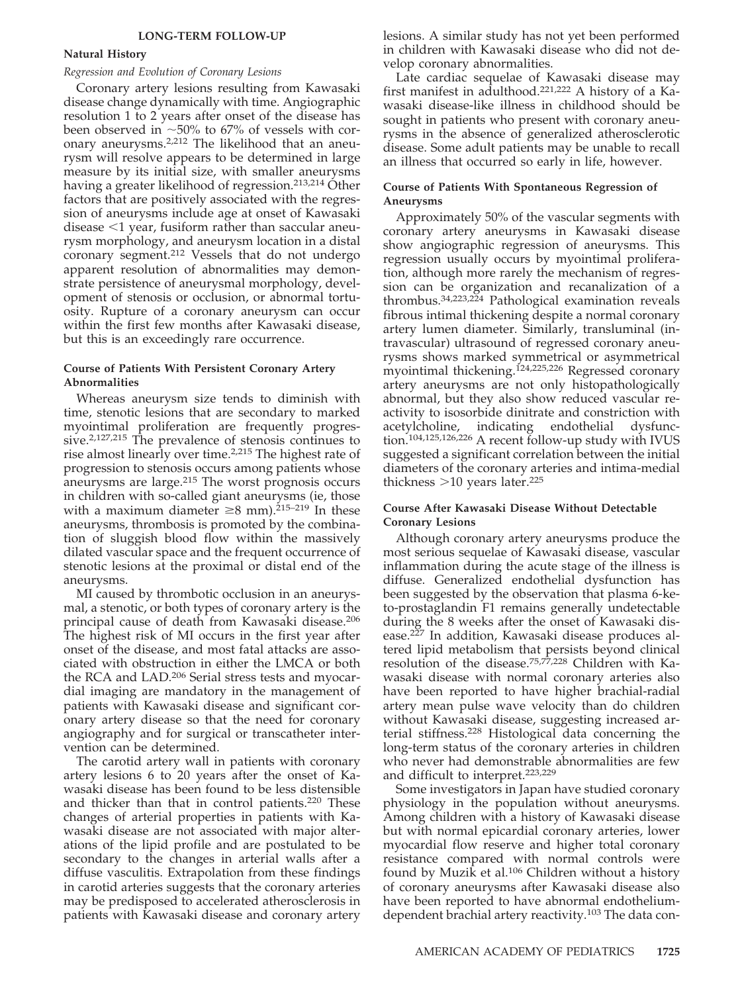#### **LONG-TERM FOLLOW-UP**

#### **Natural History**

# *Regression and Evolution of Coronary Lesions*

Coronary artery lesions resulting from Kawasaki disease change dynamically with time. Angiographic resolution 1 to 2 years after onset of the disease has been observed in  $\sim$ 50% to 67% of vessels with coronary aneurysms.<sup>2,212</sup> The likelihood that an aneurysm will resolve appears to be determined in large measure by its initial size, with smaller aneurysms having a greater likelihood of regression.213,214 Other factors that are positively associated with the regression of aneurysms include age at onset of Kawasaki disease -1 year, fusiform rather than saccular aneurysm morphology, and aneurysm location in a distal coronary segment.212 Vessels that do not undergo apparent resolution of abnormalities may demonstrate persistence of aneurysmal morphology, development of stenosis or occlusion, or abnormal tortuosity. Rupture of a coronary aneurysm can occur within the first few months after Kawasaki disease, but this is an exceedingly rare occurrence.

## **Course of Patients With Persistent Coronary Artery Abnormalities**

Whereas aneurysm size tends to diminish with time, stenotic lesions that are secondary to marked myointimal proliferation are frequently progres $sive^{2,127,215}$  The prevalence of stenosis continues to rise almost linearly over time.2,215 The highest rate of progression to stenosis occurs among patients whose aneurysms are large. $215$  The worst prognosis occurs in children with so-called giant aneurysms (ie, those with a maximum diameter  $\geq 8$  mm).<sup>215–219</sup> In these aneurysms, thrombosis is promoted by the combination of sluggish blood flow within the massively dilated vascular space and the frequent occurrence of stenotic lesions at the proximal or distal end of the aneurysms.

MI caused by thrombotic occlusion in an aneurysmal, a stenotic, or both types of coronary artery is the principal cause of death from Kawasaki disease.206 The highest risk of MI occurs in the first year after onset of the disease, and most fatal attacks are associated with obstruction in either the LMCA or both the RCA and LAD.206 Serial stress tests and myocardial imaging are mandatory in the management of patients with Kawasaki disease and significant coronary artery disease so that the need for coronary angiography and for surgical or transcatheter intervention can be determined.

The carotid artery wall in patients with coronary artery lesions 6 to 20 years after the onset of Kawasaki disease has been found to be less distensible and thicker than that in control patients.220 These changes of arterial properties in patients with Kawasaki disease are not associated with major alterations of the lipid profile and are postulated to be secondary to the changes in arterial walls after a diffuse vasculitis. Extrapolation from these findings in carotid arteries suggests that the coronary arteries may be predisposed to accelerated atherosclerosis in patients with Kawasaki disease and coronary artery

lesions. A similar study has not yet been performed in children with Kawasaki disease who did not develop coronary abnormalities.

Late cardiac sequelae of Kawasaki disease may first manifest in adulthood.221,222 A history of a Kawasaki disease-like illness in childhood should be sought in patients who present with coronary aneurysms in the absence of generalized atherosclerotic disease. Some adult patients may be unable to recall an illness that occurred so early in life, however.

#### **Course of Patients With Spontaneous Regression of Aneurysms**

Approximately 50% of the vascular segments with coronary artery aneurysms in Kawasaki disease show angiographic regression of aneurysms. This regression usually occurs by myointimal proliferation, although more rarely the mechanism of regression can be organization and recanalization of a thrombus.<sup>34,223,224</sup> Pathological examination reveals fibrous intimal thickening despite a normal coronary artery lumen diameter. Similarly, transluminal (intravascular) ultrasound of regressed coronary aneurysms shows marked symmetrical or asymmetrical myointimal thickening.<sup>124,225,226</sup> Regressed coronary artery aneurysms are not only histopathologically abnormal, but they also show reduced vascular reactivity to isosorbide dinitrate and constriction with acetylcholine, indicating endothelial dysfunction.104,125,126,226 A recent follow-up study with IVUS suggested a significant correlation between the initial diameters of the coronary arteries and intima-medial thickness  $>$ 10 years later.<sup>225</sup>

# **Course After Kawasaki Disease Without Detectable Coronary Lesions**

Although coronary artery aneurysms produce the most serious sequelae of Kawasaki disease, vascular inflammation during the acute stage of the illness is diffuse. Generalized endothelial dysfunction has been suggested by the observation that plasma 6-keto-prostaglandin F1 remains generally undetectable during the 8 weeks after the onset of Kawasaki disease.227 In addition, Kawasaki disease produces altered lipid metabolism that persists beyond clinical resolution of the disease.<sup>75,77,228</sup> Children with Kawasaki disease with normal coronary arteries also have been reported to have higher brachial-radial artery mean pulse wave velocity than do children without Kawasaki disease, suggesting increased arterial stiffness.228 Histological data concerning the long-term status of the coronary arteries in children who never had demonstrable abnormalities are few and difficult to interpret.223,229

Some investigators in Japan have studied coronary physiology in the population without aneurysms. Among children with a history of Kawasaki disease but with normal epicardial coronary arteries, lower myocardial flow reserve and higher total coronary resistance compared with normal controls were found by Muzik et al.<sup>106</sup> Children without a history of coronary aneurysms after Kawasaki disease also have been reported to have abnormal endotheliumdependent brachial artery reactivity.<sup>103</sup> The data con-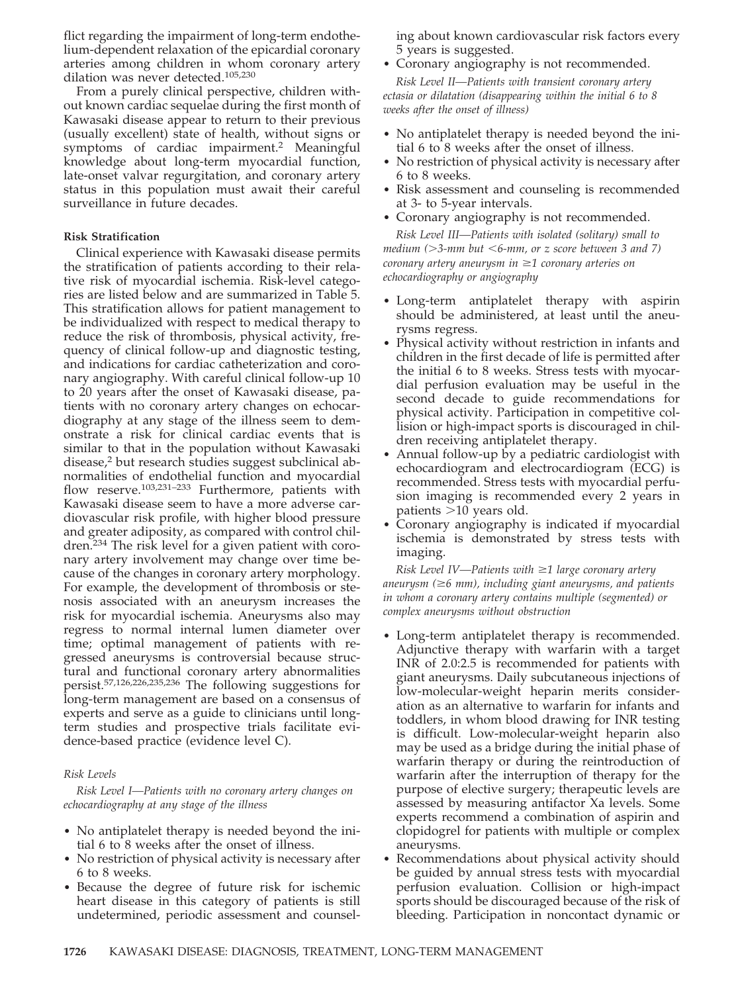flict regarding the impairment of long-term endothelium-dependent relaxation of the epicardial coronary arteries among children in whom coronary artery dilation was never detected.105,230

From a purely clinical perspective, children without known cardiac sequelae during the first month of Kawasaki disease appear to return to their previous (usually excellent) state of health, without signs or symptoms of cardiac impairment.<sup>2</sup> Meaningful knowledge about long-term myocardial function, late-onset valvar regurgitation, and coronary artery status in this population must await their careful surveillance in future decades.

#### **Risk Stratification**

Clinical experience with Kawasaki disease permits the stratification of patients according to their relative risk of myocardial ischemia. Risk-level categories are listed below and are summarized in Table 5. This stratification allows for patient management to be individualized with respect to medical therapy to reduce the risk of thrombosis, physical activity, frequency of clinical follow-up and diagnostic testing, and indications for cardiac catheterization and coronary angiography. With careful clinical follow-up 10 to 20 years after the onset of Kawasaki disease, patients with no coronary artery changes on echocardiography at any stage of the illness seem to demonstrate a risk for clinical cardiac events that is similar to that in the population without Kawasaki disease,2 but research studies suggest subclinical abnormalities of endothelial function and myocardial flow reserve.<sup>103,231-233</sup> Furthermore, patients with Kawasaki disease seem to have a more adverse cardiovascular risk profile, with higher blood pressure and greater adiposity, as compared with control children.234 The risk level for a given patient with coronary artery involvement may change over time because of the changes in coronary artery morphology. For example, the development of thrombosis or stenosis associated with an aneurysm increases the risk for myocardial ischemia. Aneurysms also may regress to normal internal lumen diameter over time; optimal management of patients with regressed aneurysms is controversial because structural and functional coronary artery abnormalities persist.57,126,226,235,236 The following suggestions for long-term management are based on a consensus of experts and serve as a guide to clinicians until longterm studies and prospective trials facilitate evidence-based practice (evidence level C).

#### *Risk Levels*

*Risk Level I—Patients with no coronary artery changes on echocardiography at any stage of the illness*

- No antiplatelet therapy is needed beyond the initial 6 to 8 weeks after the onset of illness.
- No restriction of physical activity is necessary after 6 to 8 weeks.
- Because the degree of future risk for ischemic heart disease in this category of patients is still undetermined, periodic assessment and counsel-

ing about known cardiovascular risk factors every 5 years is suggested.

• Coronary angiography is not recommended.

*Risk Level II—Patients with transient coronary artery ectasia or dilatation (disappearing within the initial 6 to 8 weeks after the onset of illness)*

- No antiplatelet therapy is needed beyond the initial 6 to 8 weeks after the onset of illness.
- No restriction of physical activity is necessary after 6 to 8 weeks.
- Risk assessment and counseling is recommended at 3- to 5-year intervals.
- Coronary angiography is not recommended.

*Risk Level III—Patients with isolated (solitary) small to medium (3-mm but* -*6-mm, or z score between 3 and 7) coronary artery aneurysm in* ≥1 *coronary arteries on echocardiography or angiography*

- Long-term antiplatelet therapy with aspirin should be administered, at least until the aneurysms regress.
- Physical activity without restriction in infants and children in the first decade of life is permitted after the initial 6 to 8 weeks. Stress tests with myocardial perfusion evaluation may be useful in the second decade to guide recommendations for physical activity. Participation in competitive collision or high-impact sports is discouraged in children receiving antiplatelet therapy.
- Annual follow-up by a pediatric cardiologist with echocardiogram and electrocardiogram (ECG) is recommended. Stress tests with myocardial perfusion imaging is recommended every 2 years in patients  $>10$  years old.
- Coronary angiography is indicated if myocardial ischemia is demonstrated by stress tests with imaging.

*Risk Level IV—Patients with*  $\geq$  1 *large coronary artery aneurysm (6 mm), including giant aneurysms, and patients in whom a coronary artery contains multiple (segmented) or complex aneurysms without obstruction*

- Long-term antiplatelet therapy is recommended. Adjunctive therapy with warfarin with a target INR of 2.0:2.5 is recommended for patients with giant aneurysms. Daily subcutaneous injections of low-molecular-weight heparin merits consideration as an alternative to warfarin for infants and toddlers, in whom blood drawing for INR testing is difficult. Low-molecular-weight heparin also may be used as a bridge during the initial phase of warfarin therapy or during the reintroduction of warfarin after the interruption of therapy for the purpose of elective surgery; therapeutic levels are assessed by measuring antifactor Xa levels. Some experts recommend a combination of aspirin and clopidogrel for patients with multiple or complex aneurysms.
- Recommendations about physical activity should be guided by annual stress tests with myocardial perfusion evaluation. Collision or high-impact sports should be discouraged because of the risk of bleeding. Participation in noncontact dynamic or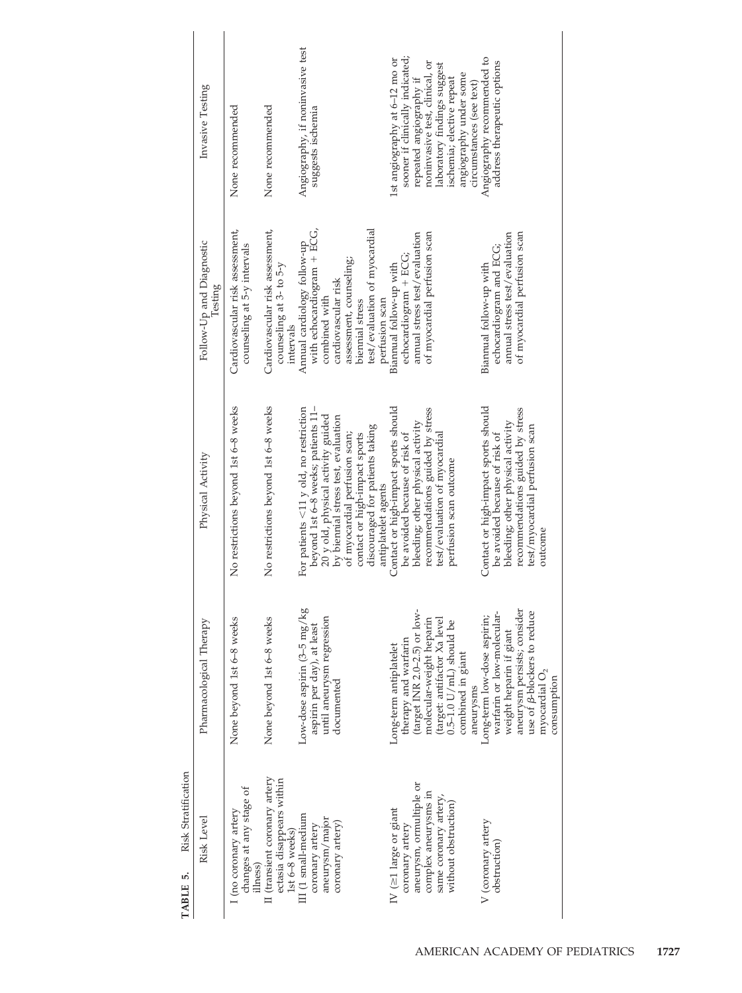| Risk Stratification<br>TABLE 5.                                                   |                                                                                                                                                                                              |                                                                                                                                                                                             |                                                                                                                      |                                                                                                                                                  |
|-----------------------------------------------------------------------------------|----------------------------------------------------------------------------------------------------------------------------------------------------------------------------------------------|---------------------------------------------------------------------------------------------------------------------------------------------------------------------------------------------|----------------------------------------------------------------------------------------------------------------------|--------------------------------------------------------------------------------------------------------------------------------------------------|
| Risk Level                                                                        | Pharmacological Therapy                                                                                                                                                                      | Physical Activity                                                                                                                                                                           | Follow-Up and Diagnostic<br>Testing                                                                                  | Invasive Testing                                                                                                                                 |
| changes at any stage of<br>I (no coronary artery<br>illness)                      | None beyond 1st 6-8 weeks                                                                                                                                                                    | No restrictions beyond 1st 6-8 weeks                                                                                                                                                        | Cardiovascular risk assessment,<br>counseling at 5-y intervals                                                       | None recommended                                                                                                                                 |
| II (transient coronary artery<br>ectasia disappears within<br>1st $6-8$ weeks)    | None beyond 1st 6-8 weeks                                                                                                                                                                    | No restrictions beyond 1st 6-8 weeks                                                                                                                                                        | Cardiovascular risk assessment,<br>counseling at $3$ - to $5-y$<br>intervals                                         | None recommended                                                                                                                                 |
| III (1 small-medium<br>aneurysm/major<br>coronary artery                          | Low-dose aspirin (3-5 mg/kg<br>until aneurysm regression<br>aspirin per day), at least                                                                                                       | beyond 1st 6-8 weeks; patients 11-<br>For patients $<$ 11 y old, no restriction<br>20 y old, physical activity guided                                                                       | with echocardiogram + ECG,<br>Annual cardiology follow-up<br>combined with                                           | Angiography, if noninvasive test<br>suggests ischemia                                                                                            |
| coronary artery)                                                                  | documented                                                                                                                                                                                   | by biennial stress test, evaluation<br>discouraged for patients taking<br>of myocardial perfusion scan;<br>contact or high-impact sports<br>antiplatelet agents                             | test/evaluation of myocardial<br>assessment, counseling;<br>cardiovascular risk<br>perfusion scan<br>biennial stress |                                                                                                                                                  |
| aneurysm, ormultiple or<br>$\rm{IV}$ ( $\geq$ 1 large or giant<br>coronary artery | (target INR 2.0-2.5) or low-<br>therapy and warfarin<br>Long-term antiplatelet                                                                                                               | Contact or high-impact sports should<br>bleeding; other physical activity<br>be avoided because of risk of                                                                                  | annual stress test/evaluation<br>echocardiogram + ECG;<br>Biannual follow-up with                                    | 1st angiography at 6-12 mo or<br>sooner if clinically indicated;<br>repeated angiography if                                                      |
| complex aneurysms in<br>same coronary artery,<br>without obstruction)             | molecular-weight heparin<br>(target: antifactor Xa level)<br>0.5–1.0 U/mL) should be<br>combined in giant<br>aneurysms                                                                       | recommendations guided by stress<br>test/evaluation of myocardial<br>perfusion scan outcome                                                                                                 | of myocardial perfusion scan                                                                                         | noninvasive test, clinical, or<br>laboratory findings suggest<br>angiography under some<br>ischemia; elective repeat<br>circumstances (see text) |
| V (coronary artery<br>obstruction)                                                | aneurysm persists; consider<br>use of $\beta$ -blockers to reduce<br>warfarin or low-molecular-<br>Long-term low-dose aspirin;<br>weight heparin if giant<br>myocardial $O_2$<br>consumption | Contact or high-impact sports should<br>recommendations guided by stress<br>bleeding; other physical activity<br>test/myocardial perfusion scan<br>be avoided because of risk of<br>outcome | of myocardial perfusion scan<br>annual stress test/evaluation<br>echocardiogram and ECG;<br>Biannual follow-up with  | Angiography recommended to<br>address therapeutic options                                                                                        |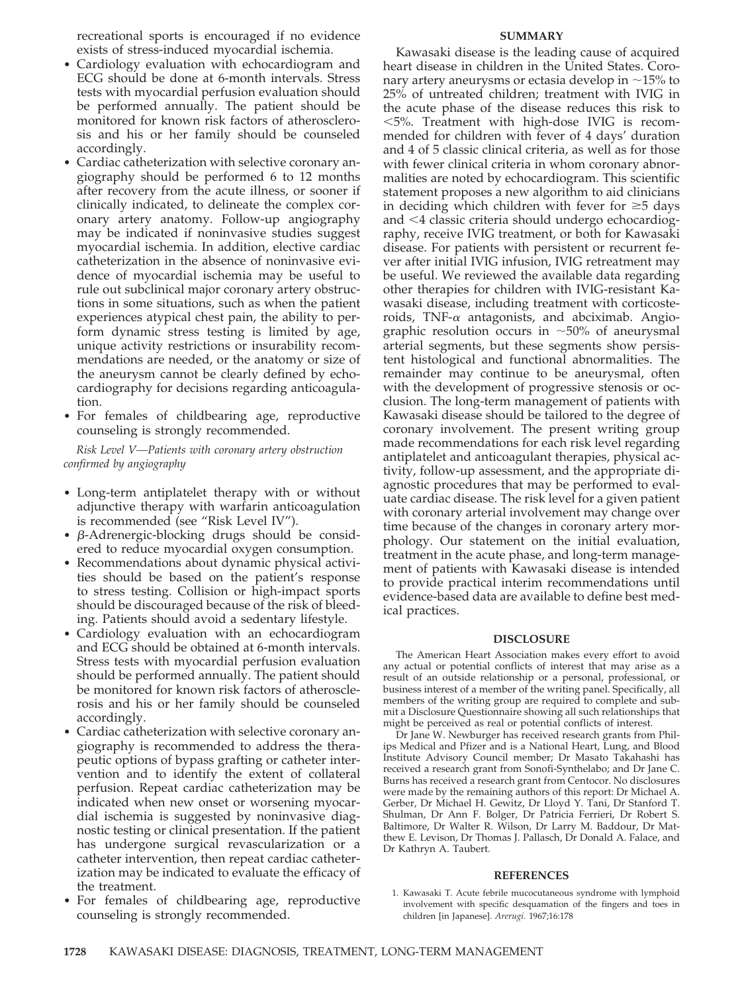recreational sports is encouraged if no evidence exists of stress-induced myocardial ischemia.

- Cardiology evaluation with echocardiogram and ECG should be done at 6-month intervals. Stress tests with myocardial perfusion evaluation should be performed annually. The patient should be monitored for known risk factors of atherosclerosis and his or her family should be counseled accordingly.
- Cardiac catheterization with selective coronary angiography should be performed 6 to 12 months after recovery from the acute illness, or sooner if clinically indicated, to delineate the complex coronary artery anatomy. Follow-up angiography may be indicated if noninvasive studies suggest myocardial ischemia. In addition, elective cardiac catheterization in the absence of noninvasive evidence of myocardial ischemia may be useful to rule out subclinical major coronary artery obstructions in some situations, such as when the patient experiences atypical chest pain, the ability to perform dynamic stress testing is limited by age, unique activity restrictions or insurability recommendations are needed, or the anatomy or size of the aneurysm cannot be clearly defined by echocardiography for decisions regarding anticoagulation.
- For females of childbearing age, reproductive counseling is strongly recommended.

*Risk Level V—Patients with coronary artery obstruction confirmed by angiography*

- Long-term antiplatelet therapy with or without adjunctive therapy with warfarin anticoagulation is recommended (see "Risk Level IV").
- $\cdot$   $\beta$ -Adrenergic-blocking drugs should be considered to reduce myocardial oxygen consumption.
- Recommendations about dynamic physical activities should be based on the patient's response to stress testing. Collision or high-impact sports should be discouraged because of the risk of bleeding. Patients should avoid a sedentary lifestyle.
- Cardiology evaluation with an echocardiogram and ECG should be obtained at 6-month intervals. Stress tests with myocardial perfusion evaluation should be performed annually. The patient should be monitored for known risk factors of atherosclerosis and his or her family should be counseled accordingly.
- Cardiac catheterization with selective coronary angiography is recommended to address the therapeutic options of bypass grafting or catheter intervention and to identify the extent of collateral perfusion. Repeat cardiac catheterization may be indicated when new onset or worsening myocardial ischemia is suggested by noninvasive diagnostic testing or clinical presentation. If the patient has undergone surgical revascularization or a catheter intervention, then repeat cardiac catheterization may be indicated to evaluate the efficacy of the treatment.
- For females of childbearing age, reproductive counseling is strongly recommended.

#### **SUMMARY**

Kawasaki disease is the leading cause of acquired heart disease in children in the United States. Coronary artery aneurysms or ectasia develop in  $\sim$ 15% to 25% of untreated children; treatment with IVIG in the acute phase of the disease reduces this risk to -5%. Treatment with high-dose IVIG is recommended for children with fever of 4 days' duration and 4 of 5 classic clinical criteria, as well as for those with fewer clinical criteria in whom coronary abnormalities are noted by echocardiogram. This scientific statement proposes a new algorithm to aid clinicians in deciding which children with fever for  $\geq$  5 days and <4 classic criteria should undergo echocardiography, receive IVIG treatment, or both for Kawasaki disease. For patients with persistent or recurrent fever after initial IVIG infusion, IVIG retreatment may be useful. We reviewed the available data regarding other therapies for children with IVIG-resistant Kawasaki disease, including treatment with corticosteroids, TNF- $\alpha$  antagonists, and abciximab. Angiographic resolution occurs in  $~50\%$  of aneurysmal arterial segments, but these segments show persistent histological and functional abnormalities. The remainder may continue to be aneurysmal, often with the development of progressive stenosis or occlusion. The long-term management of patients with Kawasaki disease should be tailored to the degree of coronary involvement. The present writing group made recommendations for each risk level regarding antiplatelet and anticoagulant therapies, physical activity, follow-up assessment, and the appropriate diagnostic procedures that may be performed to evaluate cardiac disease. The risk level for a given patient with coronary arterial involvement may change over time because of the changes in coronary artery morphology. Our statement on the initial evaluation, treatment in the acute phase, and long-term management of patients with Kawasaki disease is intended to provide practical interim recommendations until evidence-based data are available to define best medical practices.

#### **DISCLOSURE**

The American Heart Association makes every effort to avoid any actual or potential conflicts of interest that may arise as a result of an outside relationship or a personal, professional, or business interest of a member of the writing panel. Specifically, all members of the writing group are required to complete and submit a Disclosure Questionnaire showing all such relationships that might be perceived as real or potential conflicts of interest.

Dr Jane W. Newburger has received research grants from Philips Medical and Pfizer and is a National Heart, Lung, and Blood Institute Advisory Council member; Dr Masato Takahashi has received a research grant from Sonofi-Synthelabo; and Dr Jane C. Burns has received a research grant from Centocor. No disclosures were made by the remaining authors of this report: Dr Michael A. Gerber, Dr Michael H. Gewitz, Dr Lloyd Y. Tani, Dr Stanford T. Shulman, Dr Ann F. Bolger, Dr Patricia Ferrieri, Dr Robert S. Baltimore, Dr Walter R. Wilson, Dr Larry M. Baddour, Dr Matthew E. Levison, Dr Thomas J. Pallasch, Dr Donald A. Falace, and Dr Kathryn A. Taubert.

#### **REFERENCES**

1. Kawasaki T. Acute febrile mucocutaneous syndrome with lymphoid involvement with specific desquamation of the fingers and toes in children [in Japanese]. *Arerugi.* 1967;16:178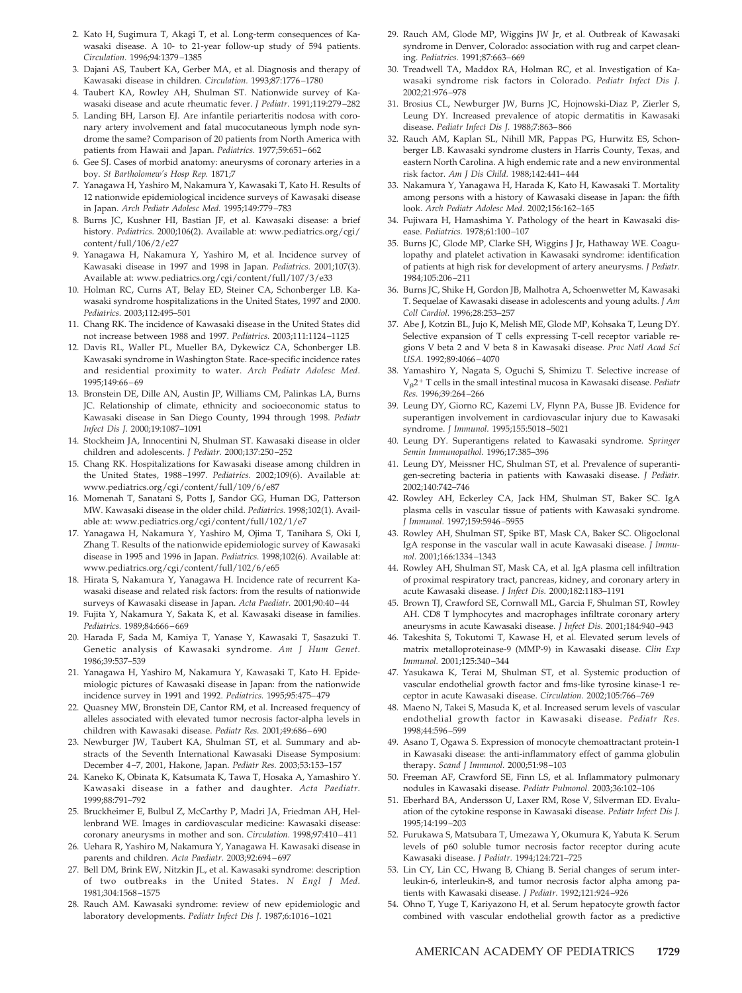- 2. Kato H, Sugimura T, Akagi T, et al. Long-term consequences of Kawasaki disease. A 10- to 21-year follow-up study of 594 patients. *Circulation.* 1996;94:1379 –1385
- 3. Dajani AS, Taubert KA, Gerber MA, et al. Diagnosis and therapy of Kawasaki disease in children. *Circulation.* 1993;87:1776 –1780
- 4. Taubert KA, Rowley AH, Shulman ST. Nationwide survey of Kawasaki disease and acute rheumatic fever. *J Pediatr.* 1991;119:279 –282
- 5. Landing BH, Larson EJ. Are infantile periarteritis nodosa with coronary artery involvement and fatal mucocutaneous lymph node syndrome the same? Comparison of 20 patients from North America with patients from Hawaii and Japan. *Pediatrics.* 1977;59:651– 662
- 6. Gee SJ. Cases of morbid anatomy: aneurysms of coronary arteries in a boy. *St Bartholomew's Hosp Rep.* 1871;7
- 7. Yanagawa H, Yashiro M, Nakamura Y, Kawasaki T, Kato H. Results of 12 nationwide epidemiological incidence surveys of Kawasaki disease in Japan. *Arch Pediatr Adolesc Med.* 1995;149:779 –783
- 8. Burns JC, Kushner HI, Bastian JF, et al. Kawasaki disease: a brief history. *Pediatrics.* 2000;106(2). Available at: www.pediatrics.org/cgi/ content/full/106/2/e27
- 9. Yanagawa H, Nakamura Y, Yashiro M, et al. Incidence survey of Kawasaki disease in 1997 and 1998 in Japan. *Pediatrics.* 2001;107(3). Available at: www.pediatrics.org/cgi/content/full/107/3/e33
- 10. Holman RC, Curns AT, Belay ED, Steiner CA, Schonberger LB. Kawasaki syndrome hospitalizations in the United States, 1997 and 2000. *Pediatrics.* 2003;112:495–501
- 11. Chang RK. The incidence of Kawasaki disease in the United States did not increase between 1988 and 1997. *Pediatrics.* 2003;111:1124 –1125
- 12. Davis RL, Waller PL, Mueller BA, Dykewicz CA, Schonberger LB. Kawasaki syndrome in Washington State. Race-specific incidence rates and residential proximity to water. *Arch Pediatr Adolesc Med.* 1995;149:66 – 69
- 13. Bronstein DE, Dille AN, Austin JP, Williams CM, Palinkas LA, Burns JC. Relationship of climate, ethnicity and socioeconomic status to Kawasaki disease in San Diego County, 1994 through 1998. *Pediatr Infect Dis J.* 2000;19:1087–1091
- 14. Stockheim JA, Innocentini N, Shulman ST. Kawasaki disease in older children and adolescents. *J Pediatr.* 2000;137:250 –252
- 15. Chang RK. Hospitalizations for Kawasaki disease among children in the United States, 1988 –1997. *Pediatrics.* 2002;109(6). Available at: www.pediatrics.org/cgi/content/full/109/6/e87
- 16. Momenah T, Sanatani S, Potts J, Sandor GG, Human DG, Patterson MW. Kawasaki disease in the older child. *Pediatrics.* 1998;102(1). Available at: www.pediatrics.org/cgi/content/full/102/1/e7
- 17. Yanagawa H, Nakamura Y, Yashiro M, Ojima T, Tanihara S, Oki I, Zhang T. Results of the nationwide epidemiologic survey of Kawasaki disease in 1995 and 1996 in Japan. *Pediatrics.* 1998;102(6). Available at: www.pediatrics.org/cgi/content/full/102/6/e65
- 18. Hirata S, Nakamura Y, Yanagawa H. Incidence rate of recurrent Kawasaki disease and related risk factors: from the results of nationwide surveys of Kawasaki disease in Japan. *Acta Paediatr.* 2001;90:40 – 44
- 19. Fujita Y, Nakamura Y, Sakata K, et al. Kawasaki disease in families. *Pediatrics.* 1989;84:666 – 669
- 20. Harada F, Sada M, Kamiya T, Yanase Y, Kawasaki T, Sasazuki T. Genetic analysis of Kawasaki syndrome. *Am J Hum Genet.* 1986;39:537–539
- 21. Yanagawa H, Yashiro M, Nakamura Y, Kawasaki T, Kato H. Epidemiologic pictures of Kawasaki disease in Japan: from the nationwide incidence survey in 1991 and 1992. *Pediatrics.* 1995;95:475– 479
- 22. Quasney MW, Bronstein DE, Cantor RM, et al. Increased frequency of alleles associated with elevated tumor necrosis factor-alpha levels in children with Kawasaki disease. *Pediatr Res.* 2001;49:686 – 690
- 23. Newburger JW, Taubert KA, Shulman ST, et al. Summary and abstracts of the Seventh International Kawasaki Disease Symposium: December 4 –7, 2001, Hakone, Japan. *Pediatr Res.* 2003;53:153–157
- 24. Kaneko K, Obinata K, Katsumata K, Tawa T, Hosaka A, Yamashiro Y. Kawasaki disease in a father and daughter. *Acta Paediatr.* 1999;88:791–792
- 25. Bruckheimer E, Bulbul Z, McCarthy P, Madri JA, Friedman AH, Hellenbrand WE. Images in cardiovascular medicine: Kawasaki disease: coronary aneurysms in mother and son. *Circulation.* 1998;97:410 – 411
- 26. Uehara R, Yashiro M, Nakamura Y, Yanagawa H. Kawasaki disease in parents and children. *Acta Paediatr.* 2003;92:694 – 697
- 27. Bell DM, Brink EW, Nitzkin JL, et al. Kawasaki syndrome: description of two outbreaks in the United States. *N Engl J Med.* 1981;304:1568 –1575
- 28. Rauch AM. Kawasaki syndrome: review of new epidemiologic and laboratory developments. *Pediatr Infect Dis J.* 1987;6:1016 –1021
- 29. Rauch AM, Glode MP, Wiggins JW Jr, et al. Outbreak of Kawasaki syndrome in Denver, Colorado: association with rug and carpet cleaning. *Pediatrics.* 1991;87:663– 669
- 30. Treadwell TA, Maddox RA, Holman RC, et al. Investigation of Kawasaki syndrome risk factors in Colorado. *Pediatr Infect Dis J.* 2002;21:976 –978
- 31. Brosius CL, Newburger JW, Burns JC, Hojnowski-Diaz P, Zierler S, Leung DY. Increased prevalence of atopic dermatitis in Kawasaki disease. *Pediatr Infect Dis J.* 1988;7:863– 866
- 32. Rauch AM, Kaplan SL, Nihill MR, Pappas PG, Hurwitz ES, Schonberger LB. Kawasaki syndrome clusters in Harris County, Texas, and eastern North Carolina. A high endemic rate and a new environmental risk factor. *Am J Dis Child.* 1988;142:441– 444
- 33. Nakamura Y, Yanagawa H, Harada K, Kato H, Kawasaki T. Mortality among persons with a history of Kawasaki disease in Japan: the fifth look. *Arch Pediatr Adolesc Med.* 2002;156:162–165
- 34. Fujiwara H, Hamashima Y. Pathology of the heart in Kawasaki disease. *Pediatrics.* 1978;61:100 –107
- 35. Burns JC, Glode MP, Clarke SH, Wiggins J Jr, Hathaway WE. Coagulopathy and platelet activation in Kawasaki syndrome: identification of patients at high risk for development of artery aneurysms. *J Pediatr.* 1984;105:206 –211
- 36. Burns JC, Shike H, Gordon JB, Malhotra A, Schoenwetter M, Kawasaki T. Sequelae of Kawasaki disease in adolescents and young adults. *J Am Coll Cardiol.* 1996;28:253–257
- 37. Abe J, Kotzin BL, Jujo K, Melish ME, Glode MP, Kohsaka T, Leung DY. Selective expansion of T cells expressing T-cell receptor variable regions V beta 2 and V beta 8 in Kawasaki disease. *Proc Natl Acad Sci USA.* 1992;89:4066 – 4070
- 38. Yamashiro Y, Nagata S, Oguchi S, Shimizu T. Selective increase of V2 T cells in the small intestinal mucosa in Kawasaki disease. *Pediatr Res.* 1996;39:264 –266
- 39. Leung DY, Giorno RC, Kazemi LV, Flynn PA, Busse JB. Evidence for superantigen involvement in cardiovascular injury due to Kawasaki syndrome. *J Immunol.* 1995;155:5018 –5021
- 40. Leung DY. Superantigens related to Kawasaki syndrome. *Springer Semin Immunopathol.* 1996;17:385–396
- 41. Leung DY, Meissner HC, Shulman ST, et al. Prevalence of superantigen-secreting bacteria in patients with Kawasaki disease. *J Pediatr.* 2002;140:742–746
- 42. Rowley AH, Eckerley CA, Jack HM, Shulman ST, Baker SC. IgA plasma cells in vascular tissue of patients with Kawasaki syndrome. *J Immunol.* 1997;159:5946 –5955
- 43. Rowley AH, Shulman ST, Spike BT, Mask CA, Baker SC. Oligoclonal IgA response in the vascular wall in acute Kawasaki disease. *J Immunol.* 2001;166:1334 –1343
- 44. Rowley AH, Shulman ST, Mask CA, et al. IgA plasma cell infiltration of proximal respiratory tract, pancreas, kidney, and coronary artery in acute Kawasaki disease. *J Infect Dis.* 2000;182:1183–1191
- 45. Brown TJ, Crawford SE, Cornwall ML, Garcia F, Shulman ST, Rowley AH. CD8 T lymphocytes and macrophages infiltrate coronary artery aneurysms in acute Kawasaki disease. *J Infect Dis.* 2001;184:940 –943
- 46. Takeshita S, Tokutomi T, Kawase H, et al. Elevated serum levels of matrix metalloproteinase-9 (MMP-9) in Kawasaki disease. *Clin Exp Immunol.* 2001;125:340 –344
- 47. Yasukawa K, Terai M, Shulman ST, et al. Systemic production of vascular endothelial growth factor and fms-like tyrosine kinase-1 receptor in acute Kawasaki disease. *Circulation.* 2002;105:766 –769
- 48. Maeno N, Takei S, Masuda K, et al. Increased serum levels of vascular endothelial growth factor in Kawasaki disease. *Pediatr Res.* 1998;44:596 –599
- 49. Asano T, Ogawa S. Expression of monocyte chemoattractant protein-1 in Kawasaki disease: the anti-inflammatory effect of gamma globulin therapy. *Scand J Immunol.* 2000;51:98 –103
- 50. Freeman AF, Crawford SE, Finn LS, et al. Inflammatory pulmonary nodules in Kawasaki disease. *Pediatr Pulmonol.* 2003;36:102–106
- 51. Eberhard BA, Andersson U, Laxer RM, Rose V, Silverman ED. Evaluation of the cytokine response in Kawasaki disease. *Pediatr Infect Dis J.* 1995;14:199 –203
- 52. Furukawa S, Matsubara T, Umezawa Y, Okumura K, Yabuta K. Serum levels of p60 soluble tumor necrosis factor receptor during acute Kawasaki disease. *J Pediatr.* 1994;124:721–725
- 53. Lin CY, Lin CC, Hwang B, Chiang B. Serial changes of serum interleukin-6, interleukin-8, and tumor necrosis factor alpha among patients with Kawasaki disease. *J Pediatr.* 1992;121:924 –926
- 54. Ohno T, Yuge T, Kariyazono H, et al. Serum hepatocyte growth factor combined with vascular endothelial growth factor as a predictive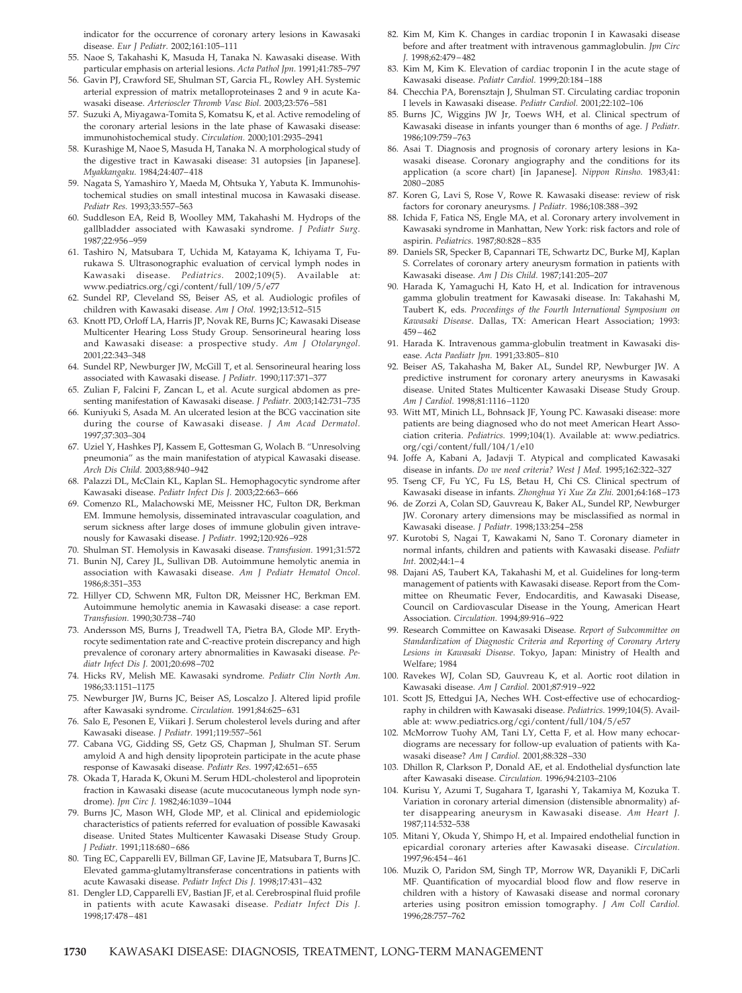indicator for the occurrence of coronary artery lesions in Kawasaki disease. *Eur J Pediatr.* 2002;161:105–111

- 55. Naoe S, Takahashi K, Masuda H, Tanaka N. Kawasaki disease. With particular emphasis on arterial lesions. *Acta Pathol Jpn.* 1991;41:785–797
- 56. Gavin PJ, Crawford SE, Shulman ST, Garcia FL, Rowley AH. Systemic arterial expression of matrix metalloproteinases 2 and 9 in acute Kawasaki disease. *Arterioscler Thromb Vasc Biol.* 2003;23:576 –581
- 57. Suzuki A, Miyagawa-Tomita S, Komatsu K, et al. Active remodeling of the coronary arterial lesions in the late phase of Kawasaki disease: immunohistochemical study. *Circulation.* 2000;101:2935–2941
- 58. Kurashige M, Naoe S, Masuda H, Tanaka N. A morphological study of the digestive tract in Kawasaki disease: 31 autopsies [in Japanese]. *Myakkangaku.* 1984;24:407– 418
- 59. Nagata S, Yamashiro Y, Maeda M, Ohtsuka Y, Yabuta K. Immunohistochemical studies on small intestinal mucosa in Kawasaki disease. *Pediatr Res.* 1993;33:557–563
- 60. Suddleson EA, Reid B, Woolley MM, Takahashi M. Hydrops of the gallbladder associated with Kawasaki syndrome. *J Pediatr Surg.* 1987;22:956 –959
- 61. Tashiro N, Matsubara T, Uchida M, Katayama K, Ichiyama T, Furukawa S. Ultrasonographic evaluation of cervical lymph nodes in Kawasaki disease. *Pediatrics.* 2002;109(5). Available at: www.pediatrics.org/cgi/content/full/109/5/e77
- 62. Sundel RP, Cleveland SS, Beiser AS, et al. Audiologic profiles of children with Kawasaki disease. *Am J Otol.* 1992;13:512–515
- 63. Knott PD, Orloff LA, Harris JP, Novak RE, Burns JC; Kawasaki Disease Multicenter Hearing Loss Study Group. Sensorineural hearing loss and Kawasaki disease: a prospective study. *Am J Otolaryngol.* 2001;22:343–348
- 64. Sundel RP, Newburger JW, McGill T, et al. Sensorineural hearing loss associated with Kawasaki disease. *J Pediatr.* 1990;117:371–377
- 65. Zulian F, Falcini F, Zancan L, et al. Acute surgical abdomen as presenting manifestation of Kawasaki disease. *J Pediatr.* 2003;142:731–735
- 66. Kuniyuki S, Asada M. An ulcerated lesion at the BCG vaccination site during the course of Kawasaki disease. *J Am Acad Dermatol.* 1997;37:303–304
- 67. Uziel Y, Hashkes PJ, Kassem E, Gottesman G, Wolach B. "Unresolving pneumonia" as the main manifestation of atypical Kawasaki disease. *Arch Dis Child.* 2003;88:940 –942
- 68. Palazzi DL, McClain KL, Kaplan SL. Hemophagocytic syndrome after Kawasaki disease. *Pediatr Infect Dis J.* 2003;22:663– 666
- 69. Comenzo RL, Malachowski ME, Meissner HC, Fulton DR, Berkman EM. Immune hemolysis, disseminated intravascular coagulation, and serum sickness after large doses of immune globulin given intravenously for Kawasaki disease. *J Pediatr.* 1992;120:926 –928
- 70. Shulman ST. Hemolysis in Kawasaki disease. *Transfusion.* 1991;31:572
- 71. Bunin NJ, Carey JL, Sullivan DB. Autoimmune hemolytic anemia in association with Kawasaki disease. *Am J Pediatr Hematol Oncol.* 1986;8:351–353
- 72. Hillyer CD, Schwenn MR, Fulton DR, Meissner HC, Berkman EM. Autoimmune hemolytic anemia in Kawasaki disease: a case report. *Transfusion.* 1990;30:738 –740
- 73. Andersson MS, Burns J, Treadwell TA, Pietra BA, Glode MP. Erythrocyte sedimentation rate and C-reactive protein discrepancy and high prevalence of coronary artery abnormalities in Kawasaki disease. *Pediatr Infect Dis J.* 2001;20:698 –702
- 74. Hicks RV, Melish ME. Kawasaki syndrome. *Pediatr Clin North Am.* 1986;33:1151–1175
- 75. Newburger JW, Burns JC, Beiser AS, Loscalzo J. Altered lipid profile after Kawasaki syndrome. *Circulation.* 1991;84:625– 631
- 76. Salo E, Pesonen E, Viikari J. Serum cholesterol levels during and after Kawasaki disease. *J Pediatr.* 1991;119:557–561
- 77. Cabana VG, Gidding SS, Getz GS, Chapman J, Shulman ST. Serum amyloid A and high density lipoprotein participate in the acute phase response of Kawasaki disease. *Pediatr Res.* 1997;42:651– 655
- 78. Okada T, Harada K, Okuni M. Serum HDL-cholesterol and lipoprotein fraction in Kawasaki disease (acute mucocutaneous lymph node syndrome). *Jpn Circ J.* 1982;46:1039 –1044
- 79. Burns JC, Mason WH, Glode MP, et al. Clinical and epidemiologic characteristics of patients referred for evaluation of possible Kawasaki disease. United States Multicenter Kawasaki Disease Study Group. *J Pediatr.* 1991;118:680 – 686
- 80. Ting EC, Capparelli EV, Billman GF, Lavine JE, Matsubara T, Burns JC. Elevated gamma-glutamyltransferase concentrations in patients with acute Kawasaki disease. *Pediatr Infect Dis J.* 1998;17:431– 432
- 81. Dengler LD, Capparelli EV, Bastian JF, et al. Cerebrospinal fluid profile in patients with acute Kawasaki disease. *Pediatr Infect Dis J.* 1998;17:478 – 481
- 82. Kim M, Kim K. Changes in cardiac troponin I in Kawasaki disease before and after treatment with intravenous gammaglobulin. *Jpn Circ J.* 1998;62:479 – 482
- 83. Kim M, Kim K. Elevation of cardiac troponin I in the acute stage of Kawasaki disease. *Pediatr Cardiol.* 1999;20:184 –188
- 84. Checchia PA, Borensztajn J, Shulman ST. Circulating cardiac troponin I levels in Kawasaki disease. *Pediatr Cardiol.* 2001;22:102–106
- 85. Burns JC, Wiggins JW Jr, Toews WH, et al. Clinical spectrum of Kawasaki disease in infants younger than 6 months of age. *J Pediatr.* 1986;109:759 –763
- 86. Asai T. Diagnosis and prognosis of coronary artery lesions in Kawasaki disease. Coronary angiography and the conditions for its application (a score chart) [in Japanese]. *Nippon Rinsho.* 1983;41: 2080 –2085
- 87. Koren G, Lavi S, Rose V, Rowe R. Kawasaki disease: review of risk factors for coronary aneurysms. *J Pediatr.* 1986;108:388 –392
- 88. Ichida F, Fatica NS, Engle MA, et al. Coronary artery involvement in Kawasaki syndrome in Manhattan, New York: risk factors and role of aspirin. *Pediatrics.* 1987;80:828 – 835
- 89. Daniels SR, Specker B, Capannari TE, Schwartz DC, Burke MJ, Kaplan S. Correlates of coronary artery aneurysm formation in patients with Kawasaki disease. *Am J Dis Child.* 1987;141:205–207
- 90. Harada K, Yamaguchi H, Kato H, et al. Indication for intravenous gamma globulin treatment for Kawasaki disease. In: Takahashi M, Taubert K, eds. *Proceedings of the Fourth International Symposium on Kawasaki Disease*. Dallas, TX: American Heart Association; 1993: 459 – 462
- 91. Harada K. Intravenous gamma-globulin treatment in Kawasaki disease. *Acta Paediatr Jpn.* 1991;33:805– 810
- 92. Beiser AS, Takahasha M, Baker AL, Sundel RP, Newburger JW. A predictive instrument for coronary artery aneurysms in Kawasaki disease. United States Multicenter Kawasaki Disease Study Group. *Am J Cardiol.* 1998;81:1116 –1120
- 93. Witt MT, Minich LL, Bohnsack JF, Young PC. Kawasaki disease: more patients are being diagnosed who do not meet American Heart Association criteria. *Pediatrics.* 1999;104(1). Available at: www.pediatrics. org/cgi/content/full/104/1/e10
- 94. Joffe A, Kabani A, Jadavji T. Atypical and complicated Kawasaki disease in infants. *Do we need criteria? West J Med.* 1995;162:322–327
- 95. Tseng CF, Fu YC, Fu LS, Betau H, Chi CS. Clinical spectrum of Kawasaki disease in infants. *Zhonghua Yi Xue Za Zhi.* 2001;64:168 –173
- 96. de Zorzi A, Colan SD, Gauvreau K, Baker AL, Sundel RP, Newburger JW. Coronary artery dimensions may be misclassified as normal in Kawasaki disease. *J Pediatr.* 1998;133:254 –258
- 97. Kurotobi S, Nagai T, Kawakami N, Sano T. Coronary diameter in normal infants, children and patients with Kawasaki disease. *Pediatr Int.* 2002;44:1– 4
- 98. Dajani AS, Taubert KA, Takahashi M, et al. Guidelines for long-term management of patients with Kawasaki disease. Report from the Committee on Rheumatic Fever, Endocarditis, and Kawasaki Disease, Council on Cardiovascular Disease in the Young, American Heart Association. *Circulation.* 1994;89:916 –922
- 99. Research Committee on Kawasaki Disease. *Report of Subcommittee on Standardization of Diagnostic Criteria and Reporting of Coronary Artery Lesions in Kawasaki Disease*. Tokyo, Japan: Ministry of Health and Welfare; 1984
- 100. Ravekes WJ, Colan SD, Gauvreau K, et al. Aortic root dilation in Kawasaki disease. *Am J Cardiol.* 2001;87:919 –922
- 101. Scott JS, Ettedgui JA, Neches WH. Cost-effective use of echocardiography in children with Kawasaki disease. *Pediatrics.* 1999;104(5). Available at: www.pediatrics.org/cgi/content/full/104/5/e57
- 102. McMorrow Tuohy AM, Tani LY, Cetta F, et al. How many echocardiograms are necessary for follow-up evaluation of patients with Kawasaki disease? *Am J Cardiol.* 2001;88:328 –330
- 103. Dhillon R, Clarkson P, Donald AE, et al. Endothelial dysfunction late after Kawasaki disease. *Circulation.* 1996;94:2103–2106
- 104. Kurisu Y, Azumi T, Sugahara T, Igarashi Y, Takamiya M, Kozuka T. Variation in coronary arterial dimension (distensible abnormality) after disappearing aneurysm in Kawasaki disease. *Am Heart J.* 1987;114:532–538
- 105. Mitani Y, Okuda Y, Shimpo H, et al. Impaired endothelial function in epicardial coronary arteries after Kawasaki disease. *Circulation.* 1997;96:454 – 461
- 106. Muzik O, Paridon SM, Singh TP, Morrow WR, Dayanikli F, DiCarli MF. Quantification of myocardial blood flow and flow reserve in children with a history of Kawasaki disease and normal coronary arteries using positron emission tomography. *J Am Coll Cardiol.* 1996;28:757–762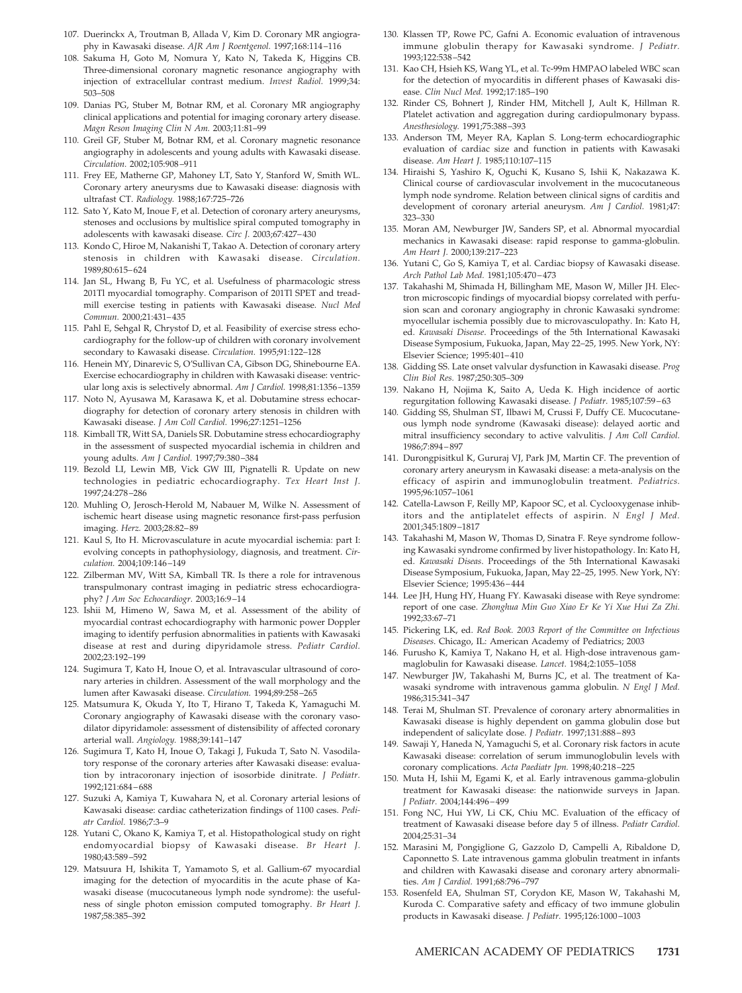- 107. Duerinckx A, Troutman B, Allada V, Kim D. Coronary MR angiography in Kawasaki disease. *AJR Am J Roentgenol.* 1997;168:114 –116
- 108. Sakuma H, Goto M, Nomura Y, Kato N, Takeda K, Higgins CB. Three-dimensional coronary magnetic resonance angiography with injection of extracellular contrast medium. *Invest Radiol.* 1999;34: 503–508
- 109. Danias PG, Stuber M, Botnar RM, et al. Coronary MR angiography clinical applications and potential for imaging coronary artery disease. *Magn Reson Imaging Clin N Am.* 2003;11:81–99
- 110. Greil GF, Stuber M, Botnar RM, et al. Coronary magnetic resonance angiography in adolescents and young adults with Kawasaki disease. *Circulation.* 2002;105:908 –911
- 111. Frey EE, Matherne GP, Mahoney LT, Sato Y, Stanford W, Smith WL. Coronary artery aneurysms due to Kawasaki disease: diagnosis with ultrafast CT. *Radiology.* 1988;167:725–726
- 112. Sato Y, Kato M, Inoue F, et al. Detection of coronary artery aneurysms, stenoses and occlusions by multislice spiral computed tomography in adolescents with kawasaki disease. *Circ J.* 2003;67:427– 430
- 113. Kondo C, Hiroe M, Nakanishi T, Takao A. Detection of coronary artery stenosis in children with Kawasaki disease. *Circulation.* 1989;80:615– 624
- 114. Jan SL, Hwang B, Fu YC, et al. Usefulness of pharmacologic stress 201Tl myocardial tomography. Comparison of 201Tl SPET and treadmill exercise testing in patients with Kawasaki disease. *Nucl Med Commun.* 2000;21:431– 435
- 115. Pahl E, Sehgal R, Chrystof D, et al. Feasibility of exercise stress echocardiography for the follow-up of children with coronary involvement secondary to Kawasaki disease. *Circulation.* 1995;91:122–128
- 116. Henein MY, Dinarevic S, O'Sullivan CA, Gibson DG, Shinebourne EA. Exercise echocardiography in children with Kawasaki disease: ventricular long axis is selectively abnormal. *Am J Cardiol.* 1998;81:1356 –1359
- 117. Noto N, Ayusawa M, Karasawa K, et al. Dobutamine stress echocardiography for detection of coronary artery stenosis in children with Kawasaki disease. *J Am Coll Cardiol.* 1996;27:1251–1256
- 118. Kimball TR, Witt SA, Daniels SR. Dobutamine stress echocardiography in the assessment of suspected myocardial ischemia in children and young adults. *Am J Cardiol.* 1997;79:380 –384
- 119. Bezold LI, Lewin MB, Vick GW III, Pignatelli R. Update on new technologies in pediatric echocardiography. *Tex Heart Inst J.* 1997;24:278 –286
- 120. Muhling O, Jerosch-Herold M, Nabauer M, Wilke N. Assessment of ischemic heart disease using magnetic resonance first-pass perfusion imaging. *Herz.* 2003;28:82– 89
- 121. Kaul S, Ito H. Microvasculature in acute myocardial ischemia: part I: evolving concepts in pathophysiology, diagnosis, and treatment. *Circulation.* 2004;109:146 –149
- 122. Zilberman MV, Witt SA, Kimball TR. Is there a role for intravenous transpulmonary contrast imaging in pediatric stress echocardiography? *J Am Soc Echocardiogr.* 2003;16:9 –14
- 123. Ishii M, Himeno W, Sawa M, et al. Assessment of the ability of myocardial contrast echocardiography with harmonic power Doppler imaging to identify perfusion abnormalities in patients with Kawasaki disease at rest and during dipyridamole stress. *Pediatr Cardiol.* 2002;23:192–199
- 124. Sugimura T, Kato H, Inoue O, et al. Intravascular ultrasound of coronary arteries in children. Assessment of the wall morphology and the lumen after Kawasaki disease. *Circulation.* 1994;89:258 –265
- 125. Matsumura K, Okuda Y, Ito T, Hirano T, Takeda K, Yamaguchi M. Coronary angiography of Kawasaki disease with the coronary vasodilator dipyridamole: assessment of distensibility of affected coronary arterial wall. *Angiology.* 1988;39:141–147
- 126. Sugimura T, Kato H, Inoue O, Takagi J, Fukuda T, Sato N. Vasodilatory response of the coronary arteries after Kawasaki disease: evaluation by intracoronary injection of isosorbide dinitrate. *J Pediatr.* 1992;121:684 – 688
- 127. Suzuki A, Kamiya T, Kuwahara N, et al. Coronary arterial lesions of Kawasaki disease: cardiac catheterization findings of 1100 cases. *Pediatr Cardiol.* 1986;7:3–9
- 128. Yutani C, Okano K, Kamiya T, et al. Histopathological study on right endomyocardial biopsy of Kawasaki disease. *Br Heart J.* 1980;43:589 –592
- 129. Matsuura H, Ishikita T, Yamamoto S, et al. Gallium-67 myocardial imaging for the detection of myocarditis in the acute phase of Kawasaki disease (mucocutaneous lymph node syndrome): the usefulness of single photon emission computed tomography. *Br Heart J.* 1987;58:385–392
- 130. Klassen TP, Rowe PC, Gafni A. Economic evaluation of intravenous immune globulin therapy for Kawasaki syndrome. *J Pediatr.* 1993;122:538 –542
- 131. Kao CH, Hsieh KS, Wang YL, et al. Tc-99m HMPAO labeled WBC scan for the detection of myocarditis in different phases of Kawasaki disease. *Clin Nucl Med.* 1992;17:185–190
- 132. Rinder CS, Bohnert J, Rinder HM, Mitchell J, Ault K, Hillman R. Platelet activation and aggregation during cardiopulmonary bypass. *Anesthesiology.* 1991;75:388 –393
- 133. Anderson TM, Meyer RA, Kaplan S. Long-term echocardiographic evaluation of cardiac size and function in patients with Kawasaki disease. *Am Heart J.* 1985;110:107–115
- 134. Hiraishi S, Yashiro K, Oguchi K, Kusano S, Ishii K, Nakazawa K. Clinical course of cardiovascular involvement in the mucocutaneous lymph node syndrome. Relation between clinical signs of carditis and development of coronary arterial aneurysm. *Am J Cardiol.* 1981;47: 323–330
- 135. Moran AM, Newburger JW, Sanders SP, et al. Abnormal myocardial mechanics in Kawasaki disease: rapid response to gamma-globulin. *Am Heart J.* 2000;139:217–223
- 136. Yutani C, Go S, Kamiya T, et al. Cardiac biopsy of Kawasaki disease. *Arch Pathol Lab Med.* 1981;105:470 – 473
- 137. Takahashi M, Shimada H, Billingham ME, Mason W, Miller JH. Electron microscopic findings of myocardial biopsy correlated with perfusion scan and coronary angiography in chronic Kawasaki syndrome: myocellular ischemia possibly due to microvasculopathy. In: Kato H, ed. *Kawasaki Disease*. Proceedings of the 5th International Kawasaki Disease Symposium, Fukuoka, Japan, May 22–25, 1995. New York, NY: Elsevier Science; 1995:401– 410
- 138. Gidding SS. Late onset valvular dysfunction in Kawasaki disease. *Prog Clin Biol Res.* 1987;250:305–309
- 139. Nakano H, Nojima K, Saito A, Ueda K. High incidence of aortic regurgitation following Kawasaki disease. *J Pediatr.* 1985;107:59 – 63
- 140. Gidding SS, Shulman ST, Ilbawi M, Crussi F, Duffy CE. Mucocutaneous lymph node syndrome (Kawasaki disease): delayed aortic and mitral insufficiency secondary to active valvulitis. *J Am Coll Cardiol.* 1986;7:894 – 897
- 141. Durongpisitkul K, Gururaj VJ, Park JM, Martin CF. The prevention of coronary artery aneurysm in Kawasaki disease: a meta-analysis on the efficacy of aspirin and immunoglobulin treatment. *Pediatrics.* 1995;96:1057–1061
- 142. Catella-Lawson F, Reilly MP, Kapoor SC, et al. Cyclooxygenase inhibitors and the antiplatelet effects of aspirin. *N Engl J Med.* 2001;345:1809 –1817
- 143. Takahashi M, Mason W, Thomas D, Sinatra F. Reye syndrome following Kawasaki syndrome confirmed by liver histopathology. In: Kato H, ed. *Kawasaki Diseas*. Proceedings of the 5th International Kawasaki Disease Symposium, Fukuoka, Japan, May 22–25, 1995. New York, NY: Elsevier Science; 1995:436 – 444
- 144. Lee JH, Hung HY, Huang FY. Kawasaki disease with Reye syndrome: report of one case. *Zhonghua Min Guo Xiao Er Ke Yi Xue Hui Za Zhi.* 1992;33:67–71
- 145. Pickering LK, ed. *Red Book. 2003 Report of the Committee on Infectious Diseases*. Chicago, IL: American Academy of Pediatrics; 2003
- 146. Furusho K, Kamiya T, Nakano H, et al. High-dose intravenous gammaglobulin for Kawasaki disease. *Lancet.* 1984;2:1055–1058
- 147. Newburger JW, Takahashi M, Burns JC, et al. The treatment of Kawasaki syndrome with intravenous gamma globulin. *N Engl J Med.* 1986;315:341–347
- 148. Terai M, Shulman ST. Prevalence of coronary artery abnormalities in Kawasaki disease is highly dependent on gamma globulin dose but independent of salicylate dose. *J Pediatr.* 1997;131:888 – 893
- 149. Sawaji Y, Haneda N, Yamaguchi S, et al. Coronary risk factors in acute Kawasaki disease: correlation of serum immunoglobulin levels with coronary complications. *Acta Paediatr Jpn.* 1998;40:218 –225
- 150. Muta H, Ishii M, Egami K, et al. Early intravenous gamma-globulin treatment for Kawasaki disease: the nationwide surveys in Japan. *J Pediatr.* 2004;144:496 – 499
- 151. Fong NC, Hui YW, Li CK, Chiu MC. Evaluation of the efficacy of treatment of Kawasaki disease before day 5 of illness. *Pediatr Cardiol.* 2004;25:31–34
- 152. Marasini M, Pongiglione G, Gazzolo D, Campelli A, Ribaldone D, Caponnetto S. Late intravenous gamma globulin treatment in infants and children with Kawasaki disease and coronary artery abnormalities. *Am J Cardiol.* 1991;68:796 –797
- 153. Rosenfeld EA, Shulman ST, Corydon KE, Mason W, Takahashi M, Kuroda C. Comparative safety and efficacy of two immune globulin products in Kawasaki disease. *J Pediatr.* 1995;126:1000 –1003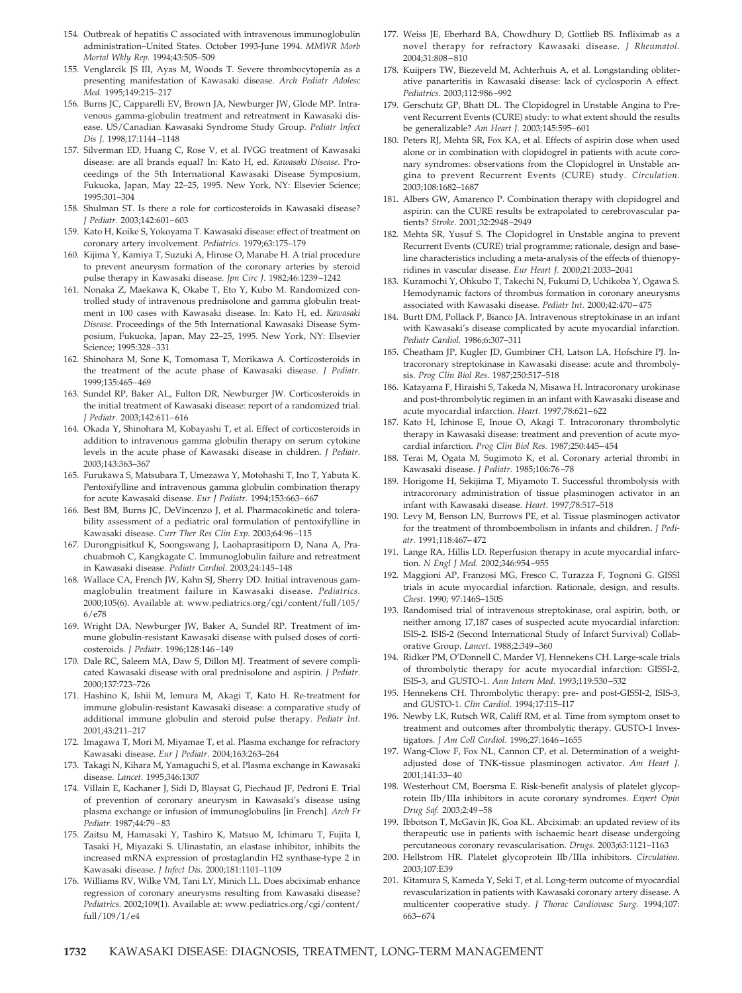- 154. Outbreak of hepatitis C associated with intravenous immunoglobulin administration–United States. October 1993-June 1994. *MMWR Morb Mortal Wkly Rep.* 1994;43:505–509
- 155. Venglarcik JS III, Ayas M, Woods T. Severe thrombocytopenia as a presenting manifestation of Kawasaki disease. *Arch Pediatr Adolesc Med.* 1995;149:215–217
- 156. Burns JC, Capparelli EV, Brown JA, Newburger JW, Glode MP. Intravenous gamma-globulin treatment and retreatment in Kawasaki disease. US/Canadian Kawasaki Syndrome Study Group. *Pediatr Infect Dis J.* 1998;17:1144 –1148
- 157. Silverman ED, Huang C, Rose V, et al. IVGG treatment of Kawasaki disease: are all brands equal? In: Kato H, ed. *Kawasaki Disease*. Proceedings of the 5th International Kawasaki Disease Symposium, Fukuoka, Japan, May 22–25, 1995. New York, NY: Elsevier Science; 1995:301–304
- 158. Shulman ST. Is there a role for corticosteroids in Kawasaki disease? *J Pediatr.* 2003;142:601– 603
- 159. Kato H, Koike S, Yokoyama T. Kawasaki disease: effect of treatment on coronary artery involvement. *Pediatrics.* 1979;63:175–179
- 160. Kijima Y, Kamiya T, Suzuki A, Hirose O, Manabe H. A trial procedure to prevent aneurysm formation of the coronary arteries by steroid pulse therapy in Kawasaki disease. *Jpn Circ J.* 1982;46:1239 –1242
- 161. Nonaka Z, Maekawa K, Okabe T, Eto Y, Kubo M. Randomized controlled study of intravenous prednisolone and gamma globulin treatment in 100 cases with Kawasaki disease. In: Kato H, ed. *Kawasaki Disease*. Proceedings of the 5th International Kawasaki Disease Symposium, Fukuoka, Japan, May 22–25, 1995. New York, NY: Elsevier Science; 1995:328 –331
- 162. Shinohara M, Sone K, Tomomasa T, Morikawa A. Corticosteroids in the treatment of the acute phase of Kawasaki disease. *J Pediatr.* 1999;135:465– 469
- 163. Sundel RP, Baker AL, Fulton DR, Newburger JW. Corticosteroids in the initial treatment of Kawasaki disease: report of a randomized trial. *J Pediatr.* 2003;142:611– 616
- 164. Okada Y, Shinohara M, Kobayashi T, et al. Effect of corticosteroids in addition to intravenous gamma globulin therapy on serum cytokine levels in the acute phase of Kawasaki disease in children. *J Pediatr.* 2003;143:363–367
- 165. Furukawa S, Matsubara T, Umezawa Y, Motohashi T, Ino T, Yabuta K. Pentoxifylline and intravenous gamma globulin combination therapy for acute Kawasaki disease. *Eur J Pediatr.* 1994;153:663– 667
- 166. Best BM, Burns JC, DeVincenzo J, et al. Pharmacokinetic and tolerability assessment of a pediatric oral formulation of pentoxifylline in Kawasaki disease. *Curr Ther Res Clin Exp.* 2003;64:96 –115
- 167. Durongpisitkul K, Soongswang J, Laohaprasitiporn D, Nana A, Prachuabmoh C, Kangkagate C. Immunoglobulin failure and retreatment in Kawasaki disease. *Pediatr Cardiol.* 2003;24:145–148
- 168. Wallace CA, French JW, Kahn SJ, Sherry DD. Initial intravenous gammaglobulin treatment failure in Kawasaki disease. *Pediatrics.* 2000;105(6). Available at: www.pediatrics.org/cgi/content/full/105/ 6/e78
- 169. Wright DA, Newburger JW, Baker A, Sundel RP. Treatment of immune globulin-resistant Kawasaki disease with pulsed doses of corticosteroids. *J Pediatr.* 1996;128:146 –149
- 170. Dale RC, Saleem MA, Daw S, Dillon MJ. Treatment of severe complicated Kawasaki disease with oral prednisolone and aspirin. *J Pediatr.* 2000;137:723–726
- 171. Hashino K, Ishii M, Iemura M, Akagi T, Kato H. Re-treatment for immune globulin-resistant Kawasaki disease: a comparative study of additional immune globulin and steroid pulse therapy. *Pediatr Int.* 2001;43:211–217
- 172. Imagawa T, Mori M, Miyamae T, et al. Plasma exchange for refractory Kawasaki disease. *Eur J Pediatr.* 2004;163:263–264
- 173. Takagi N, Kihara M, Yamaguchi S, et al. Plasma exchange in Kawasaki disease. *Lancet.* 1995;346:1307
- 174. Villain E, Kachaner J, Sidi D, Blaysat G, Piechaud JF, Pedroni E. Trial of prevention of coronary aneurysm in Kawasaki's disease using plasma exchange or infusion of immunoglobulins [in French]. *Arch Fr Pediatr.* 1987;44:79 – 83
- 175. Zaitsu M, Hamasaki Y, Tashiro K, Matsuo M, Ichimaru T, Fujita I, Tasaki H, Miyazaki S. Ulinastatin, an elastase inhibitor, inhibits the increased mRNA expression of prostaglandin H2 synthase-type 2 in Kawasaki disease. *J Infect Dis.* 2000;181:1101–1109
- 176. Williams RV, Wilke VM, Tani LY, Minich LL. Does abciximab enhance regression of coronary aneurysms resulting from Kawasaki disease? *Pediatrics.* 2002;109(1). Available at: www.pediatrics.org/cgi/content/ full/109/1/e4
- 177. Weiss JE, Eberhard BA, Chowdhury D, Gottlieb BS. Infliximab as a novel therapy for refractory Kawasaki disease. *J Rheumatol.* 2004;31:808 – 810
- 178. Kuijpers TW, Biezeveld M, Achterhuis A, et al. Longstanding obliterative panarteritis in Kawasaki disease: lack of cyclosporin A effect. *Pediatrics.* 2003;112:986 –992
- 179. Gerschutz GP, Bhatt DL. The Clopidogrel in Unstable Angina to Prevent Recurrent Events (CURE) study: to what extent should the results be generalizable? *Am Heart J.* 2003;145:595– 601
- 180. Peters RJ, Mehta SR, Fox KA, et al. Effects of aspirin dose when used alone or in combination with clopidogrel in patients with acute coronary syndromes: observations from the Clopidogrel in Unstable angina to prevent Recurrent Events (CURE) study. *Circulation.* 2003;108:1682–1687
- 181. Albers GW, Amarenco P. Combination therapy with clopidogrel and aspirin: can the CURE results be extrapolated to cerebrovascular patients? *Stroke.* 2001;32:2948 –2949
- 182. Mehta SR, Yusuf S. The Clopidogrel in Unstable angina to prevent Recurrent Events (CURE) trial programme; rationale, design and baseline characteristics including a meta-analysis of the effects of thienopyridines in vascular disease. *Eur Heart J.* 2000;21:2033–2041
- 183. Kuramochi Y, Ohkubo T, Takechi N, Fukumi D, Uchikoba Y, Ogawa S. Hemodynamic factors of thrombus formation in coronary aneurysms associated with Kawasaki disease. *Pediatr Int.* 2000;42:470 – 475
- 184. Burtt DM, Pollack P, Bianco JA. Intravenous streptokinase in an infant with Kawasaki's disease complicated by acute myocardial infarction. *Pediatr Cardiol.* 1986;6:307–311
- 185. Cheatham JP, Kugler JD, Gumbiner CH, Latson LA, Hofschire PJ. Intracoronary streptokinase in Kawasaki disease: acute and thrombolysis. *Prog Clin Biol Res.* 1987;250:517–518
- 186. Katayama F, Hiraishi S, Takeda N, Misawa H. Intracoronary urokinase and post-thrombolytic regimen in an infant with Kawasaki disease and acute myocardial infarction. *Heart.* 1997;78:621– 622
- 187. Kato H, Ichinose E, Inoue O, Akagi T. Intracoronary thrombolytic therapy in Kawasaki disease: treatment and prevention of acute myocardial infarction. *Prog Clin Biol Res.* 1987;250:445– 454
- 188. Terai M, Ogata M, Sugimoto K, et al. Coronary arterial thrombi in Kawasaki disease. *J Pediatr.* 1985;106:76 –78
- 189. Horigome H, Sekijima T, Miyamoto T. Successful thrombolysis with intracoronary administration of tissue plasminogen activator in an infant with Kawasaki disease. *Heart.* 1997;78:517–518
- 190. Levy M, Benson LN, Burrows PE, et al. Tissue plasminogen activator for the treatment of thromboembolism in infants and children. *J Pediatr.* 1991;118:467– 472
- 191. Lange RA, Hillis LD. Reperfusion therapy in acute myocardial infarction. *N Engl J Med.* 2002;346:954 –955
- 192. Maggioni AP, Franzosi MG, Fresco C, Turazza F, Tognoni G. GISSI trials in acute myocardial infarction. Rationale, design, and results. *Chest.* 1990; 97:146S–150S
- 193. Randomised trial of intravenous streptokinase, oral aspirin, both, or neither among 17,187 cases of suspected acute myocardial infarction: ISIS-2. ISIS-2 (Second International Study of Infarct Survival) Collaborative Group. *Lancet.* 1988;2:349 –360
- 194. Ridker PM, O'Donnell C, Marder VJ, Hennekens CH. Large-scale trials of thrombolytic therapy for acute myocardial infarction: GISSI-2, ISIS-3, and GUSTO-1. *Ann Intern Med.* 1993;119:530 –532
- 195. Hennekens CH. Thrombolytic therapy: pre- and post-GISSI-2, ISIS-3, and GUSTO-1. *Clin Cardiol.* 1994;17:I15–I17
- 196. Newby LK, Rutsch WR, Califf RM, et al. Time from symptom onset to treatment and outcomes after thrombolytic therapy. GUSTO-1 Investigators. *J Am Coll Cardiol.* 1996;27:1646 –1655
- 197. Wang-Clow F, Fox NL, Cannon CP, et al. Determination of a weightadjusted dose of TNK-tissue plasminogen activator. *Am Heart J.* 2001;141:33– 40
- 198. Westerhout CM, Boersma E. Risk-benefit analysis of platelet glycoprotein IIb/IIIa inhibitors in acute coronary syndromes. *Expert Opin Drug Saf.* 2003;2:49 –58
- 199. Ibbotson T, McGavin JK, Goa KL. Abciximab: an updated review of its therapeutic use in patients with ischaemic heart disease undergoing percutaneous coronary revascularisation. *Drugs.* 2003;63:1121–1163
- 200. Hellstrom HR. Platelet glycoprotein IIb/IIIa inhibitors. *Circulation.* 2003;107:E39
- 201. Kitamura S, Kameda Y, Seki T, et al. Long-term outcome of myocardial revascularization in patients with Kawasaki coronary artery disease. A multicenter cooperative study. *J Thorac Cardiovasc Surg.* 1994;107: 663– 674